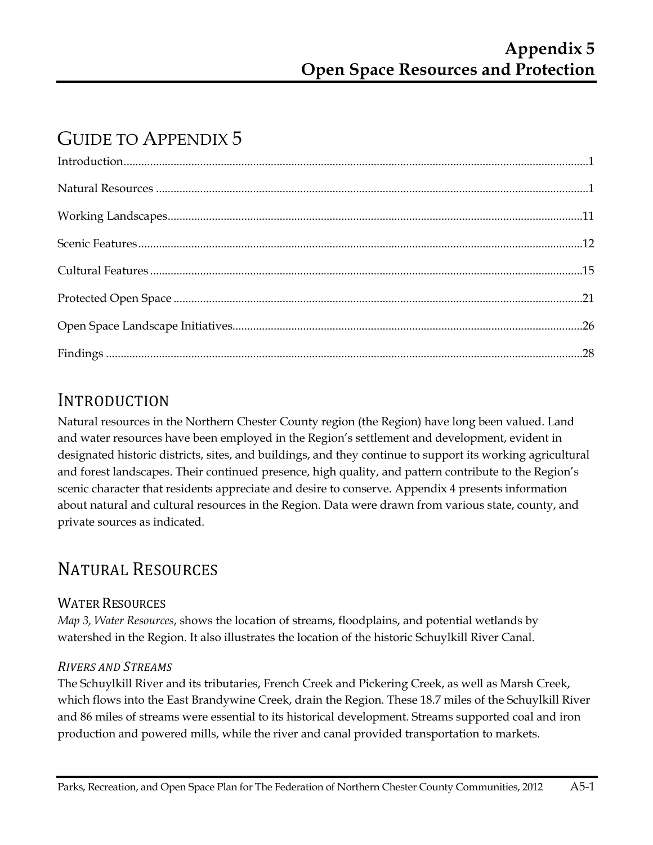# GUIDE TO APPENDIX 5

## INTRODUCTION

Natural resources in the Northern Chester County region (the Region) have long been valued. Land and water resources have been employed in the Region's settlement and development, evident in designated historic districts, sites, and buildings, and they continue to support its working agricultural and forest landscapes. Their continued presence, high quality, and pattern contribute to the Region's scenic character that residents appreciate and desire to conserve. Appendix 4 presents information about natural and cultural resources in the Region. Data were drawn from various state, county, and private sources as indicated.

# NATURAL RESOURCES

## WATER RESOURCES

*Map 3, Water Resources*, shows the location of streams, floodplains, and potential wetlands by watershed in the Region. It also illustrates the location of the historic Schuylkill River Canal.

## *RIVERS AND STREAMS*

The Schuylkill River and its tributaries, French Creek and Pickering Creek, as well as Marsh Creek, which flows into the East Brandywine Creek, drain the Region. These 18.7 miles of the Schuylkill River and 86 miles of streams were essential to its historical development. Streams supported coal and iron production and powered mills, while the river and canal provided transportation to markets.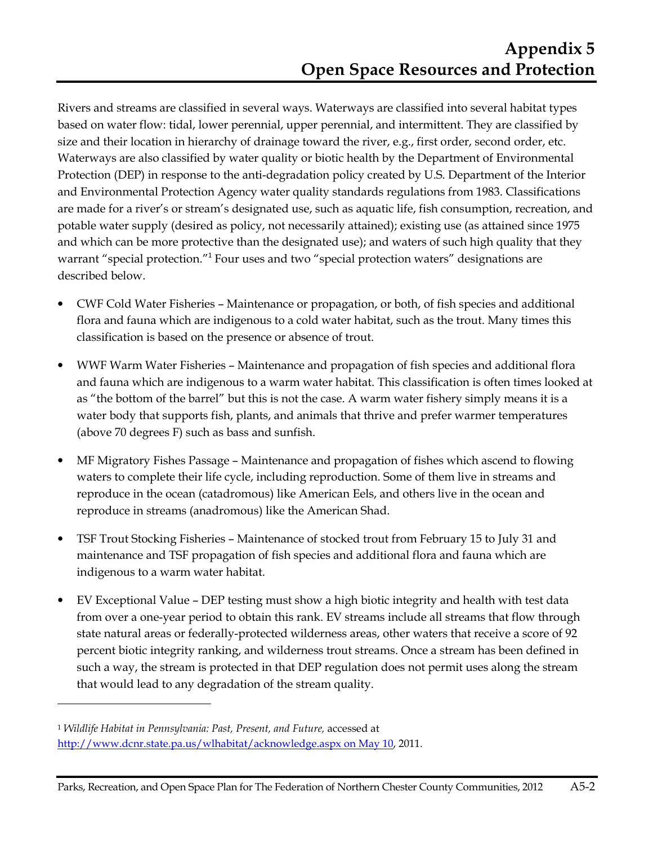Rivers and streams are classified in several ways. Waterways are classified into several habitat types based on water flow: tidal, lower perennial, upper perennial, and intermittent. They are classified by size and their location in hierarchy of drainage toward the river, e.g., first order, second order, etc. Waterways are also classified by water quality or biotic health by the Department of Environmental Protection (DEP) in response to the anti-degradation policy created by U.S. Department of the Interior and Environmental Protection Agency water quality standards regulations from 1983. Classifications are made for a river's or stream's designated use, such as aquatic life, fish consumption, recreation, and potable water supply (desired as policy, not necessarily attained); existing use (as attained since 1975 and which can be more protective than the designated use); and waters of such high quality that they warrant "special protection."<sup>1</sup> Four uses and two "special protection waters" designations are described below.

- CWF Cold Water Fisheries Maintenance or propagation, or both, of fish species and additional flora and fauna which are indigenous to a cold water habitat, such as the trout. Many times this classification is based on the presence or absence of trout.
- WWF Warm Water Fisheries Maintenance and propagation of fish species and additional flora and fauna which are indigenous to a warm water habitat. This classification is often times looked at as "the bottom of the barrel" but this is not the case. A warm water fishery simply means it is a water body that supports fish, plants, and animals that thrive and prefer warmer temperatures (above 70 degrees F) such as bass and sunfish.
- MF Migratory Fishes Passage Maintenance and propagation of fishes which ascend to flowing waters to complete their life cycle, including reproduction. Some of them live in streams and reproduce in the ocean (catadromous) like American Eels, and others live in the ocean and reproduce in streams (anadromous) like the American Shad.
- TSF Trout Stocking Fisheries Maintenance of stocked trout from February 15 to July 31 and maintenance and TSF propagation of fish species and additional flora and fauna which are indigenous to a warm water habitat.
- EV Exceptional Value DEP testing must show a high biotic integrity and health with test data from over a one-year period to obtain this rank. EV streams include all streams that flow through state natural areas or federally-protected wilderness areas, other waters that receive a score of 92 percent biotic integrity ranking, and wilderness trout streams. Once a stream has been defined in such a way, the stream is protected in that DEP regulation does not permit uses along the stream that would lead to any degradation of the stream quality.

 $\overline{a}$ 

<sup>1</sup> *Wildlife Habitat in Pennsylvania: Past, Present, and Future,* accessed at http://www.dcnr.state.pa.us/wlhabitat/acknowledge.aspx on May 10, 2011.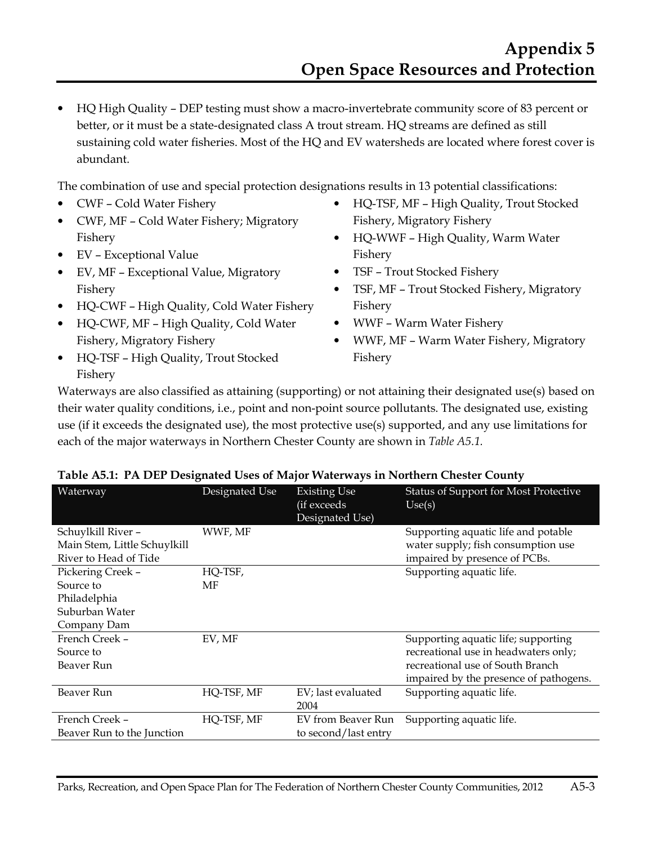• HQ High Quality – DEP testing must show a macro-invertebrate community score of 83 percent or better, or it must be a state-designated class A trout stream. HQ streams are defined as still sustaining cold water fisheries. Most of the HQ and EV watersheds are located where forest cover is abundant.

The combination of use and special protection designations results in 13 potential classifications:

- CWF Cold Water Fishery
- CWF, MF Cold Water Fishery; Migratory Fishery
- EV Exceptional Value
- EV, MF Exceptional Value, Migratory Fishery
- HQ-CWF High Quality, Cold Water Fishery
- HQ-CWF, MF High Quality, Cold Water Fishery, Migratory Fishery
- HQ-TSF High Quality, Trout Stocked Fishery
- HQ-TSF, MF High Quality, Trout Stocked Fishery, Migratory Fishery
- HQ-WWF High Quality, Warm Water Fishery
- TSF Trout Stocked Fishery
- TSF, MF Trout Stocked Fishery, Migratory Fishery
- WWF Warm Water Fishery
- WWF, MF Warm Water Fishery, Migratory Fishery

Waterways are also classified as attaining (supporting) or not attaining their designated use(s) based on their water quality conditions, i.e., point and non-point source pollutants. The designated use, existing use (if it exceeds the designated use), the most protective use(s) supported, and any use limitations for each of the major waterways in Northern Chester County are shown in *Table A5.1.*

| Waterway                                           | Designated Use | <b>Existing Use</b><br>(if exceeds<br>Designated Use) | <b>Status of Support for Most Protective</b><br>Use(s)                    |
|----------------------------------------------------|----------------|-------------------------------------------------------|---------------------------------------------------------------------------|
| Schuylkill River -<br>Main Stem, Little Schuylkill | WWF, MF        |                                                       | Supporting aquatic life and potable<br>water supply; fish consumption use |
| River to Head of Tide                              |                |                                                       | impaired by presence of PCBs.                                             |
| Pickering Creek -                                  | HQ-TSF,        |                                                       | Supporting aquatic life.                                                  |
| Source to                                          | MF             |                                                       |                                                                           |
| Philadelphia                                       |                |                                                       |                                                                           |
| Suburban Water                                     |                |                                                       |                                                                           |
| Company Dam                                        |                |                                                       |                                                                           |
| French Creek -                                     | EV, MF         |                                                       | Supporting aquatic life; supporting                                       |
| Source to                                          |                |                                                       | recreational use in headwaters only;                                      |
| Beaver Run                                         |                |                                                       | recreational use of South Branch                                          |
|                                                    |                |                                                       | impaired by the presence of pathogens.                                    |
| Beaver Run                                         | HQ-TSF, MF     | EV; last evaluated                                    | Supporting aquatic life.                                                  |
|                                                    |                | 2004                                                  |                                                                           |
| French Creek -                                     | HQ-TSF, MF     | EV from Beaver Run                                    | Supporting aquatic life.                                                  |
| Beaver Run to the Junction                         |                | to second/last entry                                  |                                                                           |

#### **Table A5.1: PA DEP Designated Uses of Major Waterways in Northern Chester County**

Parks, Recreation, and Open Space Plan for The Federation of Northern Chester County Communities, 2012 A5-3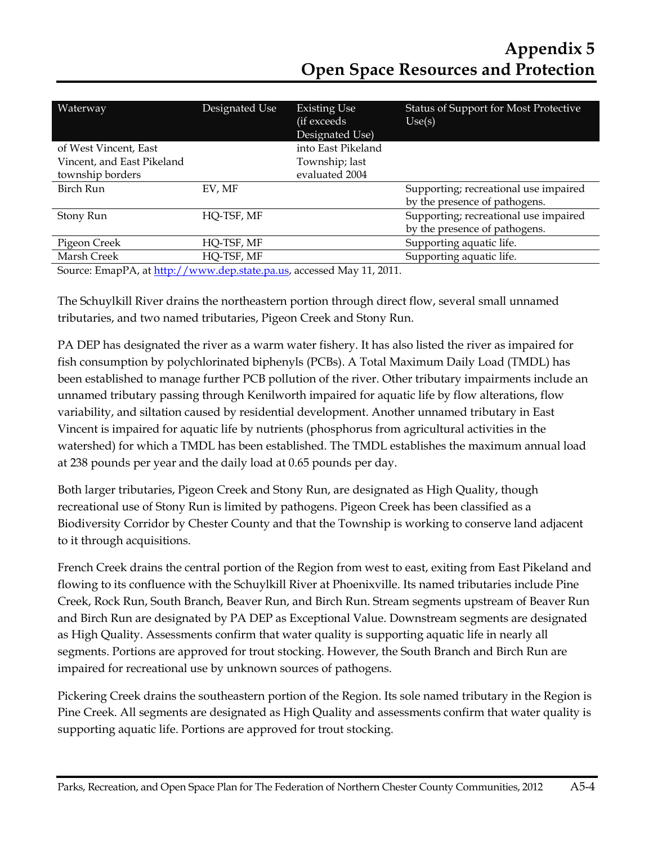| Waterway                   | Designated Use | <b>Existing Use</b><br>(if exceeds<br>Designated Use) | <b>Status of Support for Most Protective</b><br>Use(s) |
|----------------------------|----------------|-------------------------------------------------------|--------------------------------------------------------|
| of West Vincent, East      |                | into East Pikeland                                    |                                                        |
| Vincent, and East Pikeland |                | Township; last                                        |                                                        |
| township borders           |                | evaluated 2004                                        |                                                        |
| Birch Run                  | EV, MF         |                                                       | Supporting; recreational use impaired                  |
|                            |                |                                                       | by the presence of pathogens.                          |
| Stony Run                  | HQ-TSF, MF     |                                                       | Supporting; recreational use impaired                  |
|                            |                |                                                       | by the presence of pathogens.                          |
| Pigeon Creek               | HQ-TSF, MF     |                                                       | Supporting aquatic life.                               |
| Marsh Creek                | HQ-TSF, MF     |                                                       | Supporting aquatic life.                               |
| $\sim$ $\sim$              |                | .                                                     |                                                        |

Source: EmapPA, at http://www.dep.state.pa.us, accessed May 11, 2011.

The Schuylkill River drains the northeastern portion through direct flow, several small unnamed tributaries, and two named tributaries, Pigeon Creek and Stony Run.

PA DEP has designated the river as a warm water fishery. It has also listed the river as impaired for fish consumption by polychlorinated biphenyls (PCBs). A Total Maximum Daily Load (TMDL) has been established to manage further PCB pollution of the river. Other tributary impairments include an unnamed tributary passing through Kenilworth impaired for aquatic life by flow alterations, flow variability, and siltation caused by residential development. Another unnamed tributary in East Vincent is impaired for aquatic life by nutrients (phosphorus from agricultural activities in the watershed) for which a TMDL has been established. The TMDL establishes the maximum annual load at 238 pounds per year and the daily load at 0.65 pounds per day.

Both larger tributaries, Pigeon Creek and Stony Run, are designated as High Quality, though recreational use of Stony Run is limited by pathogens. Pigeon Creek has been classified as a Biodiversity Corridor by Chester County and that the Township is working to conserve land adjacent to it through acquisitions.

French Creek drains the central portion of the Region from west to east, exiting from East Pikeland and flowing to its confluence with the Schuylkill River at Phoenixville. Its named tributaries include Pine Creek, Rock Run, South Branch, Beaver Run, and Birch Run. Stream segments upstream of Beaver Run and Birch Run are designated by PA DEP as Exceptional Value. Downstream segments are designated as High Quality. Assessments confirm that water quality is supporting aquatic life in nearly all segments. Portions are approved for trout stocking. However, the South Branch and Birch Run are impaired for recreational use by unknown sources of pathogens.

Pickering Creek drains the southeastern portion of the Region. Its sole named tributary in the Region is Pine Creek. All segments are designated as High Quality and assessments confirm that water quality is supporting aquatic life. Portions are approved for trout stocking.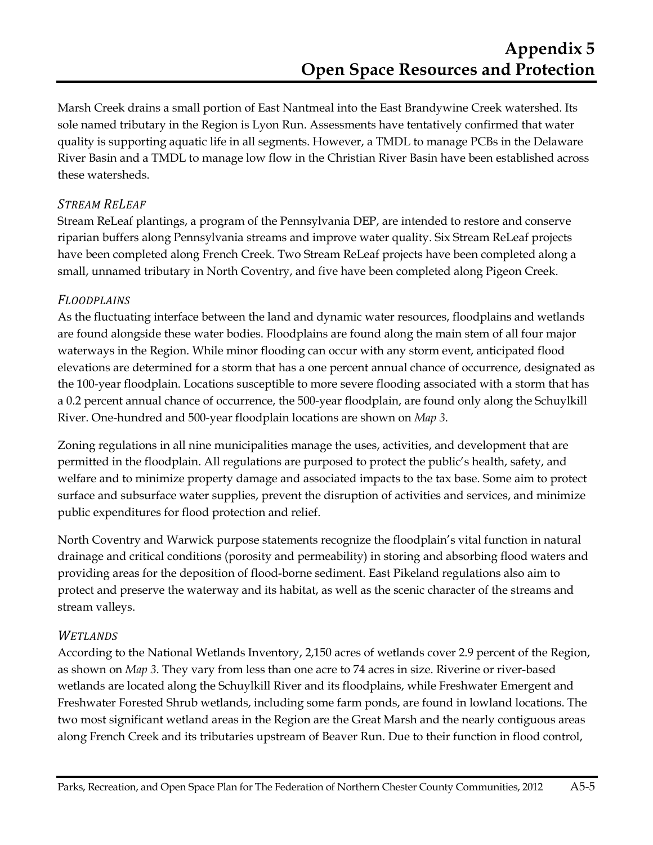Marsh Creek drains a small portion of East Nantmeal into the East Brandywine Creek watershed. Its sole named tributary in the Region is Lyon Run. Assessments have tentatively confirmed that water quality is supporting aquatic life in all segments. However, a TMDL to manage PCBs in the Delaware River Basin and a TMDL to manage low flow in the Christian River Basin have been established across these watersheds.

#### *STREAM RELEAF*

Stream ReLeaf plantings, a program of the Pennsylvania DEP, are intended to restore and conserve riparian buffers along Pennsylvania streams and improve water quality. Six Stream ReLeaf projects have been completed along French Creek. Two Stream ReLeaf projects have been completed along a small, unnamed tributary in North Coventry, and five have been completed along Pigeon Creek.

#### *FLOODPLAINS*

As the fluctuating interface between the land and dynamic water resources, floodplains and wetlands are found alongside these water bodies. Floodplains are found along the main stem of all four major waterways in the Region. While minor flooding can occur with any storm event, anticipated flood elevations are determined for a storm that has a one percent annual chance of occurrence, designated as the 100-year floodplain. Locations susceptible to more severe flooding associated with a storm that has a 0.2 percent annual chance of occurrence, the 500-year floodplain, are found only along the Schuylkill River. One-hundred and 500-year floodplain locations are shown on *Map 3*.

Zoning regulations in all nine municipalities manage the uses, activities, and development that are permitted in the floodplain. All regulations are purposed to protect the public's health, safety, and welfare and to minimize property damage and associated impacts to the tax base. Some aim to protect surface and subsurface water supplies, prevent the disruption of activities and services, and minimize public expenditures for flood protection and relief.

North Coventry and Warwick purpose statements recognize the floodplain's vital function in natural drainage and critical conditions (porosity and permeability) in storing and absorbing flood waters and providing areas for the deposition of flood-borne sediment. East Pikeland regulations also aim to protect and preserve the waterway and its habitat, as well as the scenic character of the streams and stream valleys.

#### *WETLANDS*

According to the National Wetlands Inventory, 2,150 acres of wetlands cover 2.9 percent of the Region, as shown on *Map 3*. They vary from less than one acre to 74 acres in size. Riverine or river-based wetlands are located along the Schuylkill River and its floodplains, while Freshwater Emergent and Freshwater Forested Shrub wetlands, including some farm ponds, are found in lowland locations. The two most significant wetland areas in the Region are the Great Marsh and the nearly contiguous areas along French Creek and its tributaries upstream of Beaver Run. Due to their function in flood control,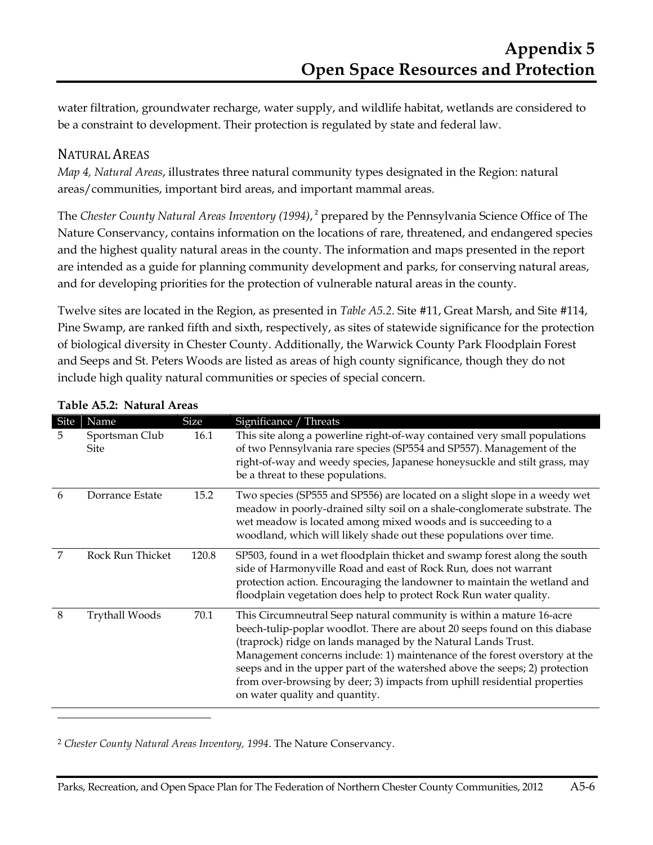water filtration, groundwater recharge, water supply, and wildlife habitat, wetlands are considered to be a constraint to development. Their protection is regulated by state and federal law.

## NATURAL AREAS

*Map 4, Natural Areas*, illustrates three natural community types designated in the Region: natural areas/communities, important bird areas, and important mammal areas.

The *Chester County Natural Areas Inventory (1994)*, 2 prepared by the Pennsylvania Science Office of The Nature Conservancy, contains information on the locations of rare, threatened, and endangered species and the highest quality natural areas in the county. The information and maps presented in the report are intended as a guide for planning community development and parks, for conserving natural areas, and for developing priorities for the protection of vulnerable natural areas in the county.

Twelve sites are located in the Region, as presented in *Table A5.2*. Site #11, Great Marsh, and Site #114, Pine Swamp, are ranked fifth and sixth, respectively, as sites of statewide significance for the protection of biological diversity in Chester County. Additionally, the Warwick County Park Floodplain Forest and Seeps and St. Peters Woods are listed as areas of high county significance, though they do not include high quality natural communities or species of special concern.

| Site | Name                          | Size  | Significance / Threats                                                                                                                                                                                                                                                                                                                                                                                                                                                                          |
|------|-------------------------------|-------|-------------------------------------------------------------------------------------------------------------------------------------------------------------------------------------------------------------------------------------------------------------------------------------------------------------------------------------------------------------------------------------------------------------------------------------------------------------------------------------------------|
| 5.   | Sportsman Club<br><b>Site</b> | 16.1  | This site along a powerline right-of-way contained very small populations<br>of two Pennsylvania rare species (SP554 and SP557). Management of the<br>right-of-way and weedy species, Japanese honeysuckle and stilt grass, may<br>be a threat to these populations.                                                                                                                                                                                                                            |
| 6    | Dorrance Estate               | 15.2  | Two species (SP555 and SP556) are located on a slight slope in a weedy wet<br>meadow in poorly-drained silty soil on a shale-conglomerate substrate. The<br>wet meadow is located among mixed woods and is succeeding to a<br>woodland, which will likely shade out these populations over time.                                                                                                                                                                                                |
| 7    | Rock Run Thicket              | 120.8 | SP503, found in a wet floodplain thicket and swamp forest along the south<br>side of Harmonyville Road and east of Rock Run, does not warrant<br>protection action. Encouraging the landowner to maintain the wetland and<br>floodplain vegetation does help to protect Rock Run water quality.                                                                                                                                                                                                 |
| 8    | <b>Trythall Woods</b>         | 70.1  | This Circumneutral Seep natural community is within a mature 16-acre<br>beech-tulip-poplar woodlot. There are about 20 seeps found on this diabase<br>(traprock) ridge on lands managed by the Natural Lands Trust.<br>Management concerns include: 1) maintenance of the forest overstory at the<br>seeps and in the upper part of the watershed above the seeps; 2) protection<br>from over-browsing by deer; 3) impacts from uphill residential properties<br>on water quality and quantity. |

#### **Table A5.2: Natural Areas**

 $\overline{a}$ 

<sup>2</sup> *Chester County Natural Areas Inventory, 1994*. The Nature Conservancy.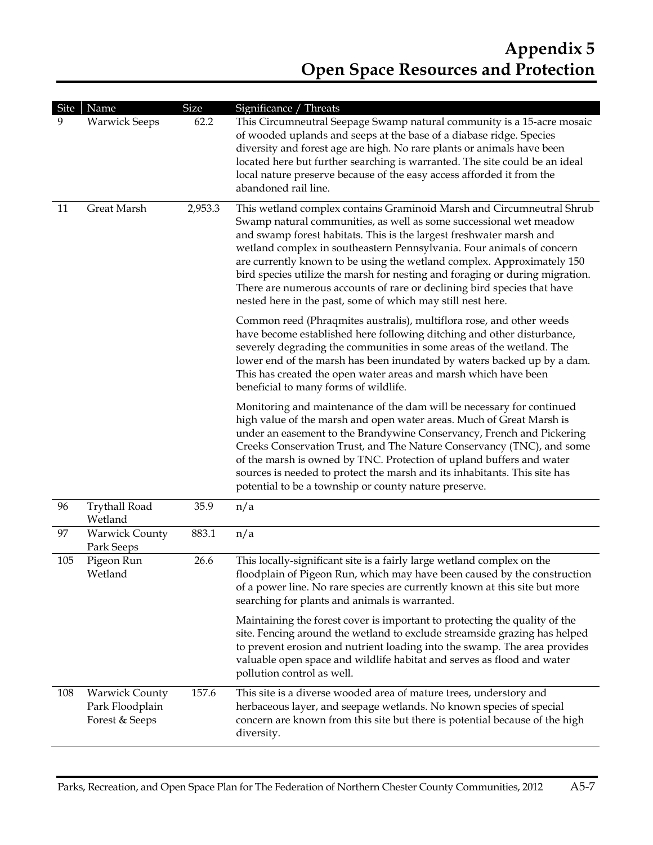| Site | Name                                                       | Size    | Significance / Threats                                                                                                                                                                                                                                                                                                                                                                                                                                                                                                                                                                          |
|------|------------------------------------------------------------|---------|-------------------------------------------------------------------------------------------------------------------------------------------------------------------------------------------------------------------------------------------------------------------------------------------------------------------------------------------------------------------------------------------------------------------------------------------------------------------------------------------------------------------------------------------------------------------------------------------------|
| 9    | <b>Warwick Seeps</b>                                       | 62.2    | This Circumneutral Seepage Swamp natural community is a 15-acre mosaic<br>of wooded uplands and seeps at the base of a diabase ridge. Species<br>diversity and forest age are high. No rare plants or animals have been<br>located here but further searching is warranted. The site could be an ideal<br>local nature preserve because of the easy access afforded it from the<br>abandoned rail line.                                                                                                                                                                                         |
| 11   | Great Marsh                                                | 2,953.3 | This wetland complex contains Graminoid Marsh and Circumneutral Shrub<br>Swamp natural communities, as well as some successional wet meadow<br>and swamp forest habitats. This is the largest freshwater marsh and<br>wetland complex in southeastern Pennsylvania. Four animals of concern<br>are currently known to be using the wetland complex. Approximately 150<br>bird species utilize the marsh for nesting and foraging or during migration.<br>There are numerous accounts of rare or declining bird species that have<br>nested here in the past, some of which may still nest here. |
|      |                                                            |         | Common reed (Phraqmites australis), multiflora rose, and other weeds<br>have become established here following ditching and other disturbance,<br>severely degrading the communities in some areas of the wetland. The<br>lower end of the marsh has been inundated by waters backed up by a dam.<br>This has created the open water areas and marsh which have been<br>beneficial to many forms of wildlife.                                                                                                                                                                                   |
|      |                                                            |         | Monitoring and maintenance of the dam will be necessary for continued<br>high value of the marsh and open water areas. Much of Great Marsh is<br>under an easement to the Brandywine Conservancy, French and Pickering<br>Creeks Conservation Trust, and The Nature Conservancy (TNC), and some<br>of the marsh is owned by TNC. Protection of upland buffers and water<br>sources is needed to protect the marsh and its inhabitants. This site has<br>potential to be a township or county nature preserve.                                                                                   |
| 96   | <b>Trythall Road</b><br>Wetland                            | 35.9    | n/a                                                                                                                                                                                                                                                                                                                                                                                                                                                                                                                                                                                             |
| 97   | <b>Warwick County</b><br>Park Seeps                        | 883.1   | n/a                                                                                                                                                                                                                                                                                                                                                                                                                                                                                                                                                                                             |
| 105  | Pigeon Run<br>Wetland                                      | 26.6    | This locally-significant site is a fairly large wetland complex on the<br>floodplain of Pigeon Run, which may have been caused by the construction<br>of a power line. No rare species are currently known at this site but more<br>searching for plants and animals is warranted.                                                                                                                                                                                                                                                                                                              |
|      |                                                            |         | Maintaining the forest cover is important to protecting the quality of the<br>site. Fencing around the wetland to exclude streamside grazing has helped<br>to prevent erosion and nutrient loading into the swamp. The area provides<br>valuable open space and wildlife habitat and serves as flood and water<br>pollution control as well.                                                                                                                                                                                                                                                    |
| 108  | <b>Warwick County</b><br>Park Floodplain<br>Forest & Seeps | 157.6   | This site is a diverse wooded area of mature trees, understory and<br>herbaceous layer, and seepage wetlands. No known species of special<br>concern are known from this site but there is potential because of the high<br>diversity.                                                                                                                                                                                                                                                                                                                                                          |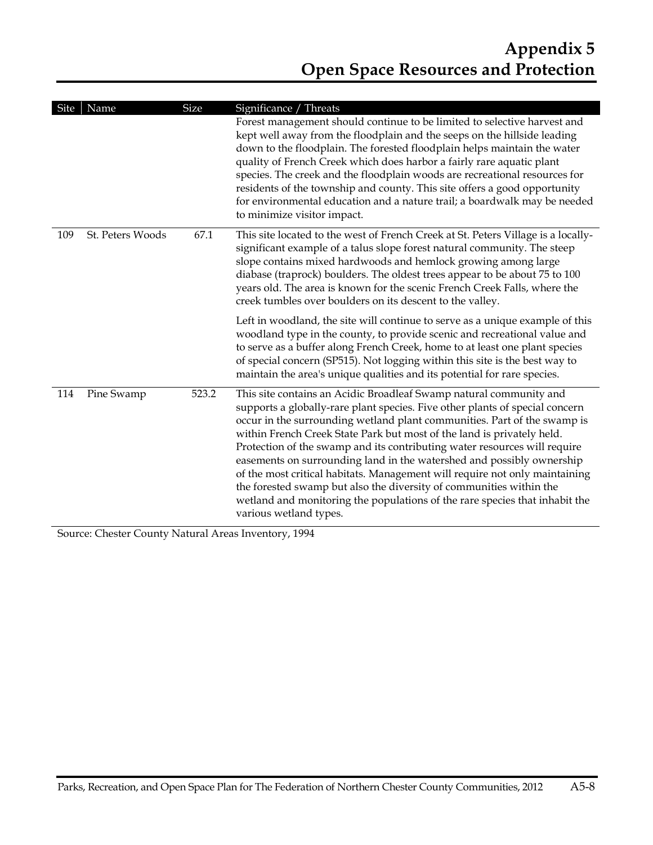| Site | Name             | <b>Size</b> | Significance / Threats                                                                                                                                                                                                                                                                                                                                                                                                                                                                                                                                                                                                                                                                                                        |
|------|------------------|-------------|-------------------------------------------------------------------------------------------------------------------------------------------------------------------------------------------------------------------------------------------------------------------------------------------------------------------------------------------------------------------------------------------------------------------------------------------------------------------------------------------------------------------------------------------------------------------------------------------------------------------------------------------------------------------------------------------------------------------------------|
|      |                  |             | Forest management should continue to be limited to selective harvest and<br>kept well away from the floodplain and the seeps on the hillside leading<br>down to the floodplain. The forested floodplain helps maintain the water<br>quality of French Creek which does harbor a fairly rare aquatic plant<br>species. The creek and the floodplain woods are recreational resources for<br>residents of the township and county. This site offers a good opportunity<br>for environmental education and a nature trail; a boardwalk may be needed<br>to minimize visitor impact.                                                                                                                                              |
| 109  | St. Peters Woods | 67.1        | This site located to the west of French Creek at St. Peters Village is a locally-<br>significant example of a talus slope forest natural community. The steep<br>slope contains mixed hardwoods and hemlock growing among large<br>diabase (traprock) boulders. The oldest trees appear to be about 75 to 100<br>years old. The area is known for the scenic French Creek Falls, where the<br>creek tumbles over boulders on its descent to the valley.                                                                                                                                                                                                                                                                       |
|      |                  |             | Left in woodland, the site will continue to serve as a unique example of this<br>woodland type in the county, to provide scenic and recreational value and<br>to serve as a buffer along French Creek, home to at least one plant species<br>of special concern (SP515). Not logging within this site is the best way to<br>maintain the area's unique qualities and its potential for rare species.                                                                                                                                                                                                                                                                                                                          |
| 114  | Pine Swamp       | 523.2       | This site contains an Acidic Broadleaf Swamp natural community and<br>supports a globally-rare plant species. Five other plants of special concern<br>occur in the surrounding wetland plant communities. Part of the swamp is<br>within French Creek State Park but most of the land is privately held.<br>Protection of the swamp and its contributing water resources will require<br>easements on surrounding land in the watershed and possibly ownership<br>of the most critical habitats. Management will require not only maintaining<br>the forested swamp but also the diversity of communities within the<br>wetland and monitoring the populations of the rare species that inhabit the<br>various wetland types. |

Source: Chester County Natural Areas Inventory, 1994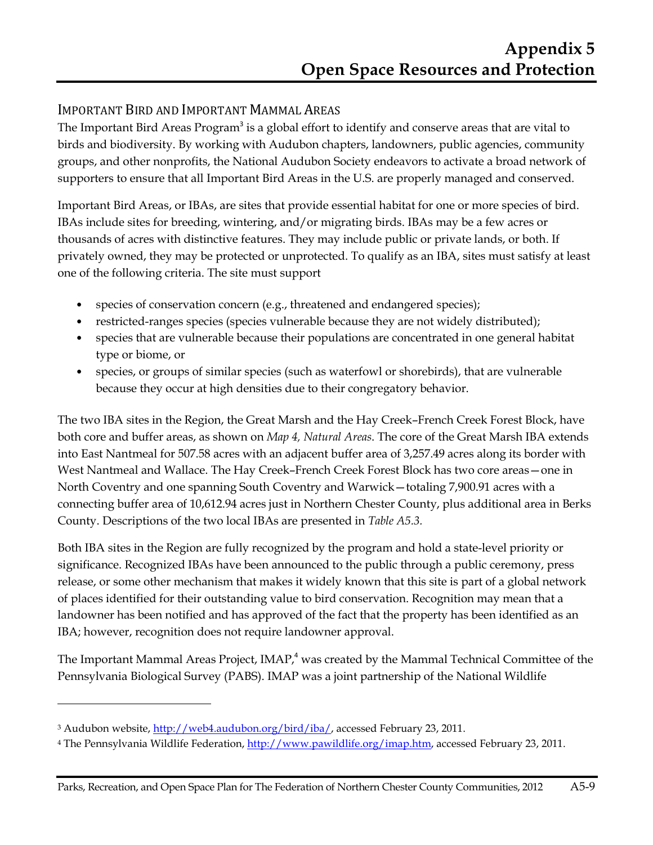## IMPORTANT BIRD AND IMPORTANT MAMMAL AREAS

The Important Bird Areas Program<sup>3</sup> is a global effort to identify and conserve areas that are vital to birds and biodiversity. By working with Audubon chapters, landowners, public agencies, community groups, and other nonprofits, the National Audubon Society endeavors to activate a broad network of supporters to ensure that all Important Bird Areas in the U.S. are properly managed and conserved.

Important Bird Areas, or IBAs, are sites that provide essential habitat for one or more species of bird. IBAs include sites for breeding, wintering, and/or migrating birds. IBAs may be a few acres or thousands of acres with distinctive features. They may include public or private lands, or both. If privately owned, they may be protected or unprotected. To qualify as an IBA, sites must satisfy at least one of the following criteria. The site must support

- species of conservation concern (e.g., threatened and endangered species);
- restricted-ranges species (species vulnerable because they are not widely distributed);
- species that are vulnerable because their populations are concentrated in one general habitat type or biome, or
- species, or groups of similar species (such as waterfowl or shorebirds), that are vulnerable because they occur at high densities due to their congregatory behavior.

The two IBA sites in the Region, the Great Marsh and the Hay Creek–French Creek Forest Block, have both core and buffer areas, as shown on *Map 4, Natural Areas*. The core of the Great Marsh IBA extends into East Nantmeal for 507.58 acres with an adjacent buffer area of 3,257.49 acres along its border with West Nantmeal and Wallace. The Hay Creek–French Creek Forest Block has two core areas—one in North Coventry and one spanning South Coventry and Warwick—totaling 7,900.91 acres with a connecting buffer area of 10,612.94 acres just in Northern Chester County, plus additional area in Berks County. Descriptions of the two local IBAs are presented in *Table A5.3.*

Both IBA sites in the Region are fully recognized by the program and hold a state-level priority or significance. Recognized IBAs have been announced to the public through a public ceremony, press release, or some other mechanism that makes it widely known that this site is part of a global network of places identified for their outstanding value to bird conservation. Recognition may mean that a landowner has been notified and has approved of the fact that the property has been identified as an IBA; however, recognition does not require landowner approval.

The Important Mammal Areas Project, IMAP, $^4$  was created by the Mammal Technical Committee of the Pennsylvania Biological Survey (PABS). IMAP was a joint partnership of the National Wildlife

 $\overline{a}$ 

<sup>&</sup>lt;sup>3</sup> Audubon website, <u>http://web4.audubon.org/bird/iba/</u>, accessed February 23, 2011.

<sup>&</sup>lt;sup>4</sup> The Pennsylvania Wildlife Federation, <u>http://www.pawildlife.org/imap.htm</u>, accessed February 23, 2011.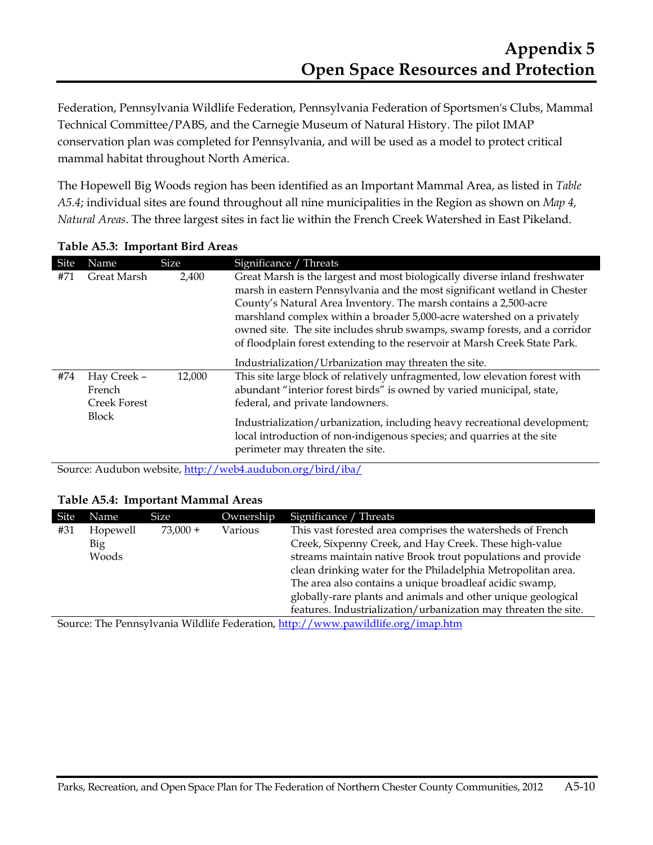Federation, Pennsylvania Wildlife Federation, Pennsylvania Federation of Sportsmen's Clubs, Mammal Technical Committee/PABS, and the Carnegie Museum of Natural History. The pilot IMAP conservation plan was completed for Pennsylvania, and will be used as a model to protect critical mammal habitat throughout North America.

The Hopewell Big Woods region has been identified as an Important Mammal Area, as listed in *Table A5.4*; individual sites are found throughout all nine municipalities in the Region as shown on *Map 4, Natural Areas*. The three largest sites in fact lie within the French Creek Watershed in East Pikeland.

| Site | Name                                                         | <b>Size</b> | Significance / Threats                                                                                                                                                                                                                                                                                                                                                                                                                                           |
|------|--------------------------------------------------------------|-------------|------------------------------------------------------------------------------------------------------------------------------------------------------------------------------------------------------------------------------------------------------------------------------------------------------------------------------------------------------------------------------------------------------------------------------------------------------------------|
| #71  | Great Marsh                                                  | 2,400       | Great Marsh is the largest and most biologically diverse inland freshwater<br>marsh in eastern Pennsylvania and the most significant wetland in Chester<br>County's Natural Area Inventory. The marsh contains a 2,500-acre<br>marshland complex within a broader 5,000-acre watershed on a privately<br>owned site. The site includes shrub swamps, swamp forests, and a corridor<br>of floodplain forest extending to the reservoir at Marsh Creek State Park. |
| #74  | Hay Creek -<br>French<br><b>Creek Forest</b><br><b>Block</b> | 12,000      | Industrialization/Urbanization may threaten the site.<br>This site large block of relatively unfragmented, low elevation forest with<br>abundant "interior forest birds" is owned by varied municipal, state,<br>federal, and private landowners.<br>Industrialization/urbanization, including heavy recreational development;<br>local introduction of non-indigenous species; and quarries at the site<br>perimeter may threaten the site.                     |

#### **Table A5.3: Important Bird Areas**

Source: Audubon website, http://web4.audubon.org/bird/iba/

#### **Table A5.4: Important Mammal Areas**

| Site | Name     | <b>Size</b> | Ownership | Significance / Threats                                          |
|------|----------|-------------|-----------|-----------------------------------------------------------------|
| #31  | Hopewell | $73.000 +$  | Various   | This vast forested area comprises the watersheds of French      |
|      | Big      |             |           | Creek, Sixpenny Creek, and Hay Creek. These high-value          |
|      | Woods    |             |           | streams maintain native Brook trout populations and provide     |
|      |          |             |           | clean drinking water for the Philadelphia Metropolitan area.    |
|      |          |             |           | The area also contains a unique broadleaf acidic swamp,         |
|      |          |             |           | globally-rare plants and animals and other unique geological    |
|      |          |             |           | features. Industrialization/urbanization may threaten the site. |

Source: The Pennsylvania Wildlife Federation, http://www.pawildlife.org/imap.htm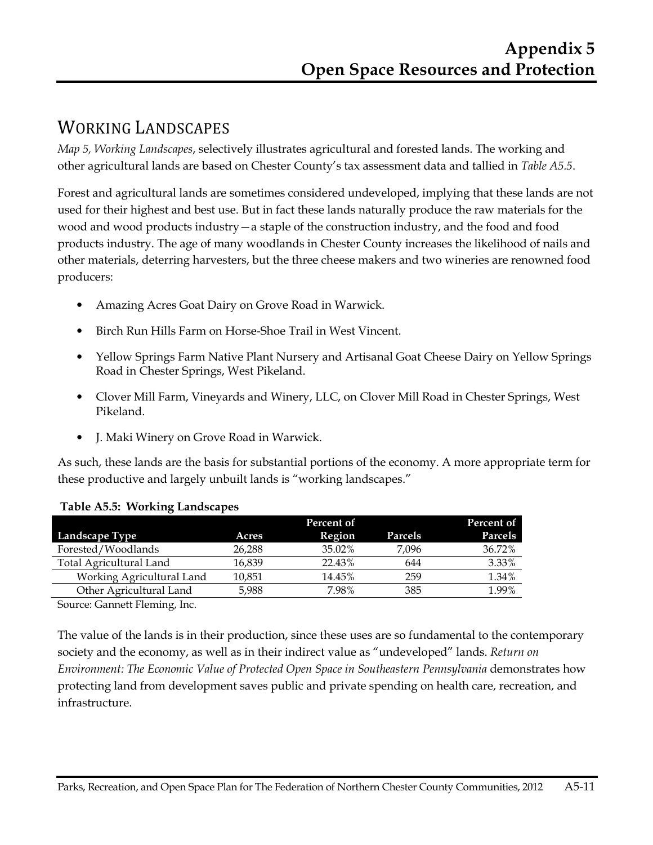## WORKING LANDSCAPES

*Map 5, Working Landscapes*, selectively illustrates agricultural and forested lands. The working and other agricultural lands are based on Chester County's tax assessment data and tallied in *Table A5.5*.

Forest and agricultural lands are sometimes considered undeveloped, implying that these lands are not used for their highest and best use. But in fact these lands naturally produce the raw materials for the wood and wood products industry—a staple of the construction industry, and the food and food products industry. The age of many woodlands in Chester County increases the likelihood of nails and other materials, deterring harvesters, but the three cheese makers and two wineries are renowned food producers:

- Amazing Acres Goat Dairy on Grove Road in Warwick.
- Birch Run Hills Farm on Horse-Shoe Trail in West Vincent.
- Yellow Springs Farm Native Plant Nursery and Artisanal Goat Cheese Dairy on Yellow Springs Road in Chester Springs, West Pikeland.
- Clover Mill Farm, Vineyards and Winery, LLC, on Clover Mill Road in Chester Springs, West Pikeland.
- J. Maki Winery on Grove Road in Warwick.

As such, these lands are the basis for substantial portions of the economy. A more appropriate term for these productive and largely unbuilt lands is "working landscapes."

|                           |        | Percent of |         | Percent of |
|---------------------------|--------|------------|---------|------------|
| Landscape Type            | Acres  | Region     | Parcels | Parcels    |
| Forested/Woodlands        | 26,288 | 35.02%     | 7.096   | 36.72%     |
| Total Agricultural Land   | 16.839 | 22.43%     | 644     | 3.33%      |
| Working Agricultural Land | 10.851 | 14.45%     | 259     | 1.34%      |
| Other Agricultural Land   | 5,988  | 7.98%      | 385     | 1.99%      |

#### **Table A5.5: Working Landscapes**

Source: Gannett Fleming, Inc.

The value of the lands is in their production, since these uses are so fundamental to the contemporary society and the economy, as well as in their indirect value as "undeveloped" lands. *Return on Environment: The Economic Value of Protected Open Space in Southeastern Pennsylvania* demonstrates how protecting land from development saves public and private spending on health care, recreation, and infrastructure.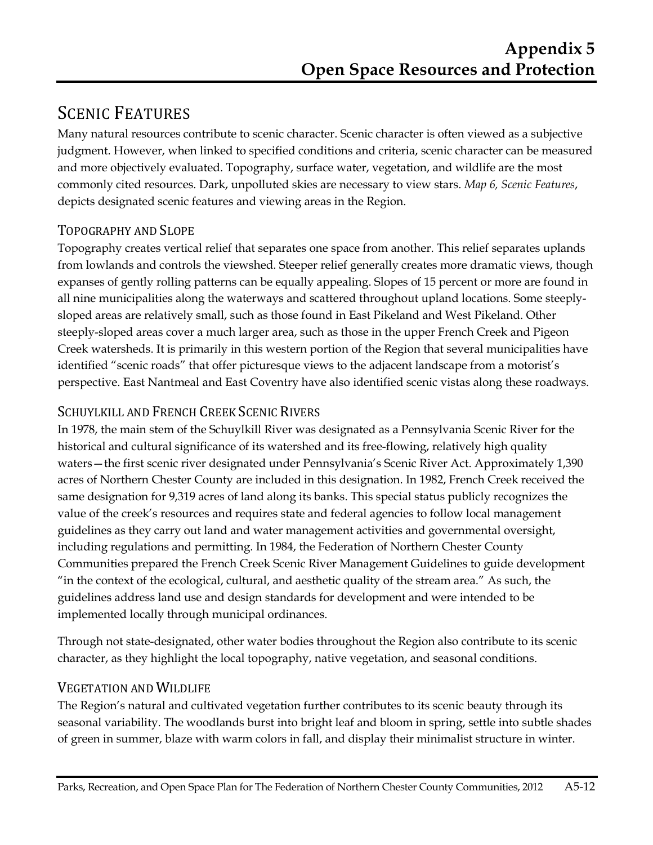# SCENIC FEATURES

Many natural resources contribute to scenic character. Scenic character is often viewed as a subjective judgment. However, when linked to specified conditions and criteria, scenic character can be measured and more objectively evaluated. Topography, surface water, vegetation, and wildlife are the most commonly cited resources. Dark, unpolluted skies are necessary to view stars. *Map 6, Scenic Features*, depicts designated scenic features and viewing areas in the Region.

## TOPOGRAPHY AND SLOPE

Topography creates vertical relief that separates one space from another. This relief separates uplands from lowlands and controls the viewshed. Steeper relief generally creates more dramatic views, though expanses of gently rolling patterns can be equally appealing. Slopes of 15 percent or more are found in all nine municipalities along the waterways and scattered throughout upland locations. Some steeplysloped areas are relatively small, such as those found in East Pikeland and West Pikeland. Other steeply-sloped areas cover a much larger area, such as those in the upper French Creek and Pigeon Creek watersheds. It is primarily in this western portion of the Region that several municipalities have identified "scenic roads" that offer picturesque views to the adjacent landscape from a motorist's perspective. East Nantmeal and East Coventry have also identified scenic vistas along these roadways.

## SCHUYLKILL AND FRENCH CREEK SCENIC RIVERS

In 1978, the main stem of the Schuylkill River was designated as a Pennsylvania Scenic River for the historical and cultural significance of its watershed and its free-flowing, relatively high quality waters—the first scenic river designated under Pennsylvania's Scenic River Act. Approximately 1,390 acres of Northern Chester County are included in this designation. In 1982, French Creek received the same designation for 9,319 acres of land along its banks. This special status publicly recognizes the value of the creek's resources and requires state and federal agencies to follow local management guidelines as they carry out land and water management activities and governmental oversight, including regulations and permitting. In 1984, the Federation of Northern Chester County Communities prepared the French Creek Scenic River Management Guidelines to guide development "in the context of the ecological, cultural, and aesthetic quality of the stream area." As such, the guidelines address land use and design standards for development and were intended to be implemented locally through municipal ordinances.

Through not state-designated, other water bodies throughout the Region also contribute to its scenic character, as they highlight the local topography, native vegetation, and seasonal conditions.

## VEGETATION AND WILDLIFE

The Region's natural and cultivated vegetation further contributes to its scenic beauty through its seasonal variability. The woodlands burst into bright leaf and bloom in spring, settle into subtle shades of green in summer, blaze with warm colors in fall, and display their minimalist structure in winter.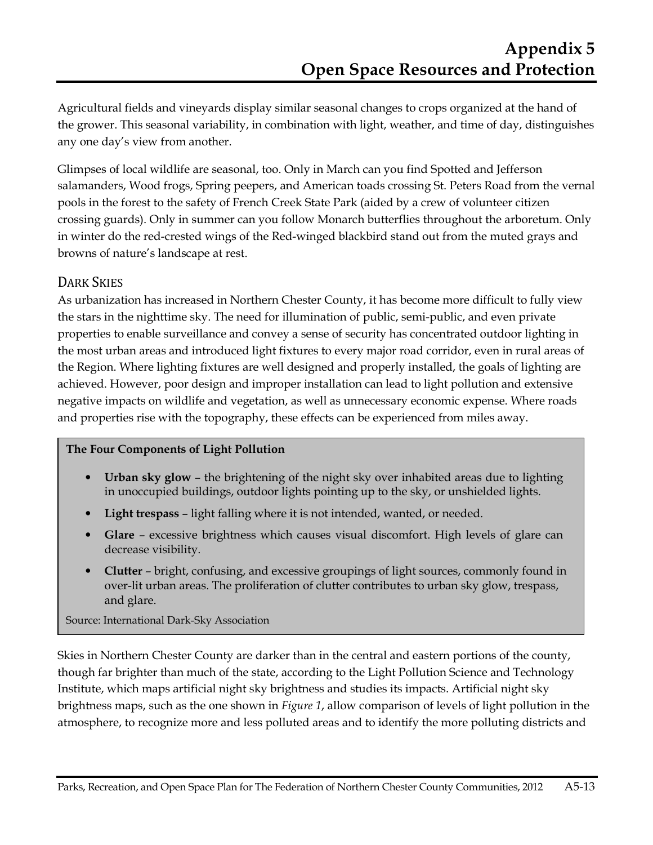Agricultural fields and vineyards display similar seasonal changes to crops organized at the hand of the grower. This seasonal variability, in combination with light, weather, and time of day, distinguishes any one day's view from another.

Glimpses of local wildlife are seasonal, too. Only in March can you find Spotted and Jefferson salamanders, Wood frogs, Spring peepers, and American toads crossing St. Peters Road from the vernal pools in the forest to the safety of French Creek State Park (aided by a crew of volunteer citizen crossing guards). Only in summer can you follow Monarch butterflies throughout the arboretum. Only in winter do the red-crested wings of the Red-winged blackbird stand out from the muted grays and browns of nature's landscape at rest.

## DARK SKIES

As urbanization has increased in Northern Chester County, it has become more difficult to fully view the stars in the nighttime sky. The need for illumination of public, semi-public, and even private properties to enable surveillance and convey a sense of security has concentrated outdoor lighting in the most urban areas and introduced light fixtures to every major road corridor, even in rural areas of the Region. Where lighting fixtures are well designed and properly installed, the goals of lighting are achieved. However, poor design and improper installation can lead to light pollution and extensive negative impacts on wildlife and vegetation, as well as unnecessary economic expense. Where roads and properties rise with the topography, these effects can be experienced from miles away.

#### **The Four Components of Light Pollution**

- **Urban sky glow**  the brightening of the night sky over inhabited areas due to lighting in unoccupied buildings, outdoor lights pointing up to the sky, or unshielded lights.
- **Light trespass** light falling where it is not intended, wanted, or needed.
- **Glare** excessive brightness which causes visual discomfort. High levels of glare can decrease visibility.
- **Clutter** bright, confusing, and excessive groupings of light sources, commonly found in over-lit urban areas. The proliferation of clutter contributes to urban sky glow, trespass, and glare.

#### Source: International Dark-Sky Association

Skies in Northern Chester County are darker than in the central and eastern portions of the county, though far brighter than much of the state, according to the Light Pollution Science and Technology Institute, which maps artificial night sky brightness and studies its impacts. Artificial night sky brightness maps, such as the one shown in *Figure 1*, allow comparison of levels of light pollution in the atmosphere, to recognize more and less polluted areas and to identify the more polluting districts and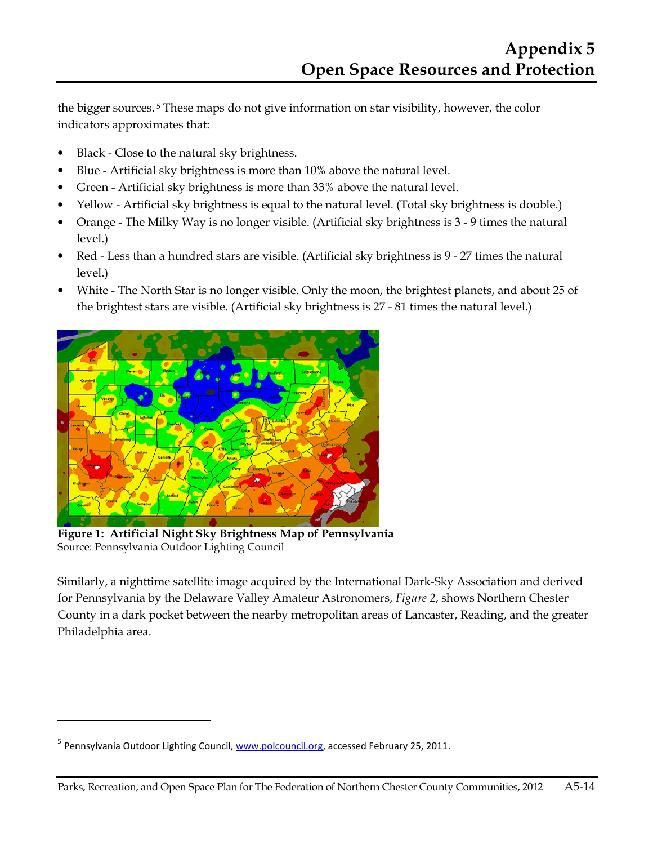the bigger sources. 5 These maps do not give information on star visibility, however, the color indicators approximates that:

- Black Close to the natural sky brightness.
- Blue Artificial sky brightness is more than 10% above the natural level.
- Green Artificial sky brightness is more than 33% above the natural level.
- Yellow Artificial sky brightness is equal to the natural level. (Total sky brightness is double.)
- Orange The Milky Way is no longer visible. (Artificial sky brightness is 3 9 times the natural level.)
- Red Less than a hundred stars are visible. (Artificial sky brightness is 9 27 times the natural level.)
- White The North Star is no longer visible. Only the moon, the brightest planets, and about 25 of the brightest stars are visible. (Artificial sky brightness is 27 - 81 times the natural level.)



**Figure 1: Artificial Night Sky Brightness Map of Pennsylvania**  Source: Pennsylvania Outdoor Lighting Council

Similarly, a nighttime satellite image acquired by the International Dark-Sky Association and derived for Pennsylvania by the Delaware Valley Amateur Astronomers, *Figure 2*, shows Northern Chester County in a dark pocket between the nearby metropolitan areas of Lancaster, Reading, and the greater Philadelphia area.

 $\overline{a}$ 

<sup>&</sup>lt;sup>5</sup> Pennsylvania Outdoor Lighting Council, www.polcouncil.org, accessed February 25, 2011.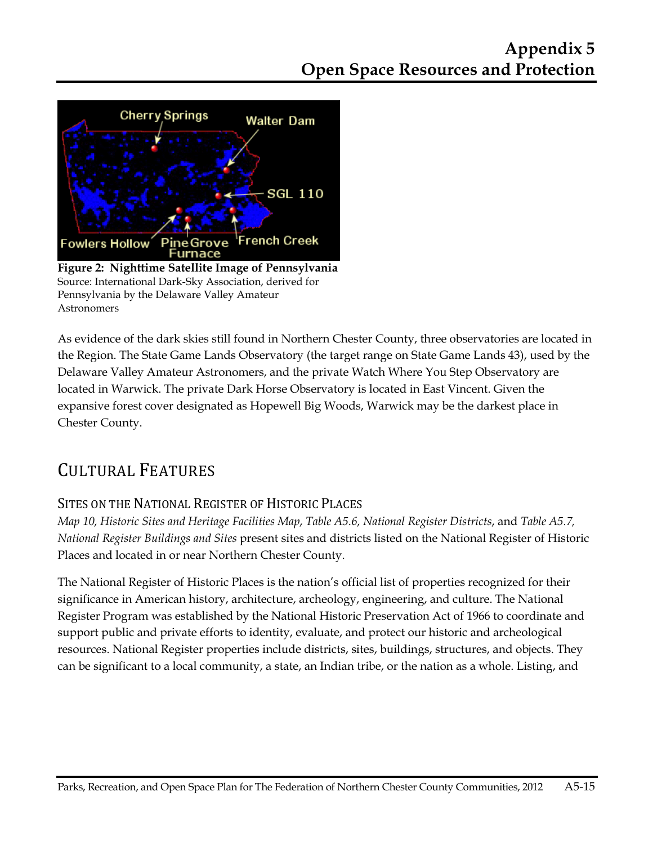

**Figure 2: Nighttime Satellite Image of Pennsylvania**  Source: International Dark-Sky Association, derived for Pennsylvania by the Delaware Valley Amateur Astronomers

As evidence of the dark skies still found in Northern Chester County, three observatories are located in the Region. The State Game Lands Observatory (the target range on State Game Lands 43), used by the Delaware Valley Amateur Astronomers, and the private Watch Where You Step Observatory are located in Warwick. The private Dark Horse Observatory is located in East Vincent. Given the expansive forest cover designated as Hopewell Big Woods, Warwick may be the darkest place in Chester County.

 $\overline{\phantom{a}}$ 

# CULTURAL FEATURES

## SITES ON THE NATIONAL REGISTER OF HISTORIC PLACES

*Map 10, Historic Sites and Heritage Facilities Map*, *Table A5.6, National Register Districts*, and *Table A5.7, National Register Buildings and Sites* present sites and districts listed on the National Register of Historic Places and located in or near Northern Chester County.

The National Register of Historic Places is the nation's official list of properties recognized for their significance in American history, architecture, archeology, engineering, and culture. The National Register Program was established by the National Historic Preservation Act of 1966 to coordinate and support public and private efforts to identity, evaluate, and protect our historic and archeological resources. National Register properties include districts, sites, buildings, structures, and objects. They can be significant to a local community, a state, an Indian tribe, or the nation as a whole. Listing, and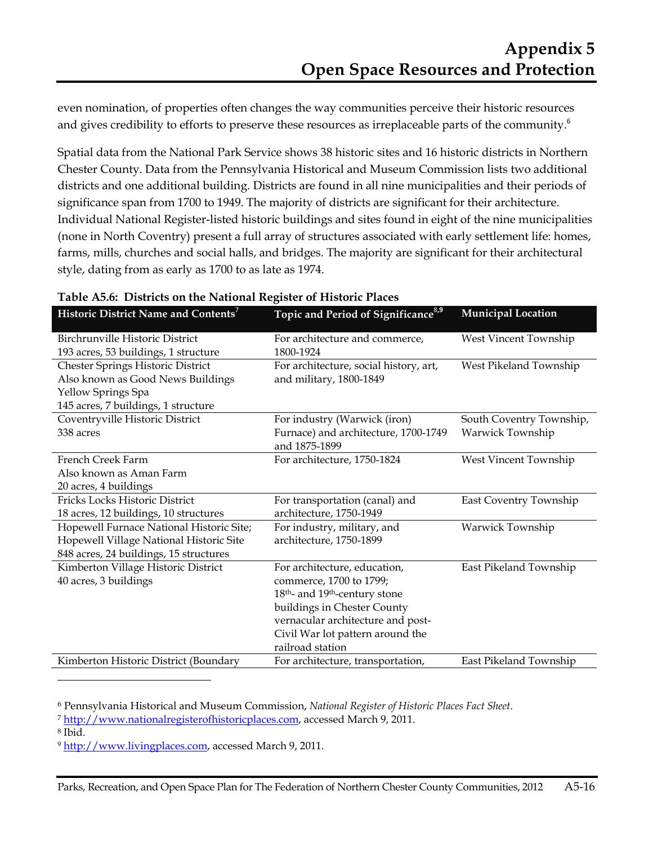even nomination, of properties often changes the way communities perceive their historic resources and gives credibility to efforts to preserve these resources as irreplaceable parts of the community.<sup>6</sup>

Spatial data from the National Park Service shows 38 historic sites and 16 historic districts in Northern Chester County. Data from the Pennsylvania Historical and Museum Commission lists two additional districts and one additional building. Districts are found in all nine municipalities and their periods of significance span from 1700 to 1949. The majority of districts are significant for their architecture. Individual National Register-listed historic buildings and sites found in eight of the nine municipalities (none in North Coventry) present a full array of structures associated with early settlement life: homes, farms, mills, churches and social halls, and bridges. The majority are significant for their architectural style, dating from as early as 1700 to as late as 1974.

| Historic District Name and Contents <sup>7</sup> | Topic and Period of Significance <sup>8,9</sup>        | <b>Municipal Location</b> |
|--------------------------------------------------|--------------------------------------------------------|---------------------------|
| Birchrunville Historic District                  | For architecture and commerce,                         | West Vincent Township     |
| 193 acres, 53 buildings, 1 structure             | 1800-1924                                              |                           |
| Chester Springs Historic District                | For architecture, social history, art,                 | West Pikeland Township    |
| Also known as Good News Buildings                | and military, 1800-1849                                |                           |
| Yellow Springs Spa                               |                                                        |                           |
| 145 acres, 7 buildings, 1 structure              |                                                        |                           |
| Coventryville Historic District                  | For industry (Warwick (iron)                           | South Coventry Township,  |
| 338 acres                                        | Furnace) and architecture, 1700-1749<br>and 1875-1899  | Warwick Township          |
| French Creek Farm                                | For architecture, 1750-1824                            | West Vincent Township     |
| Also known as Aman Farm                          |                                                        |                           |
| 20 acres, 4 buildings                            |                                                        |                           |
| Fricks Locks Historic District                   | For transportation (canal) and                         | East Coventry Township    |
| 18 acres, 12 buildings, 10 structures            | architecture, 1750-1949                                |                           |
| Hopewell Furnace National Historic Site;         | For industry, military, and                            | Warwick Township          |
| Hopewell Village National Historic Site          | architecture, 1750-1899                                |                           |
| 848 acres, 24 buildings, 15 structures           |                                                        |                           |
| Kimberton Village Historic District              | For architecture, education,                           | East Pikeland Township    |
| 40 acres, 3 buildings                            | commerce, 1700 to 1799;                                |                           |
|                                                  | 18 <sup>th</sup> - and 19 <sup>th</sup> -century stone |                           |
|                                                  | buildings in Chester County                            |                           |
|                                                  | vernacular architecture and post-                      |                           |
|                                                  | Civil War lot pattern around the                       |                           |
|                                                  | railroad station                                       |                           |
| Kimberton Historic District (Boundary            | For architecture, transportation,                      | East Pikeland Township    |

#### **Table A5.6: Districts on the National Register of Historic Places**

<sup>6</sup> Pennsylvania Historical and Museum Commission, *National Register of Historic Places Fact Sheet*.

<sup>7</sup> http://www.nationalregisterofhistoricplaces.com, accessed March 9, 2011.

8 Ibid.

 $\overline{a}$ 

<sup>9</sup> http://www.livingplaces.com, accessed March 9, 2011.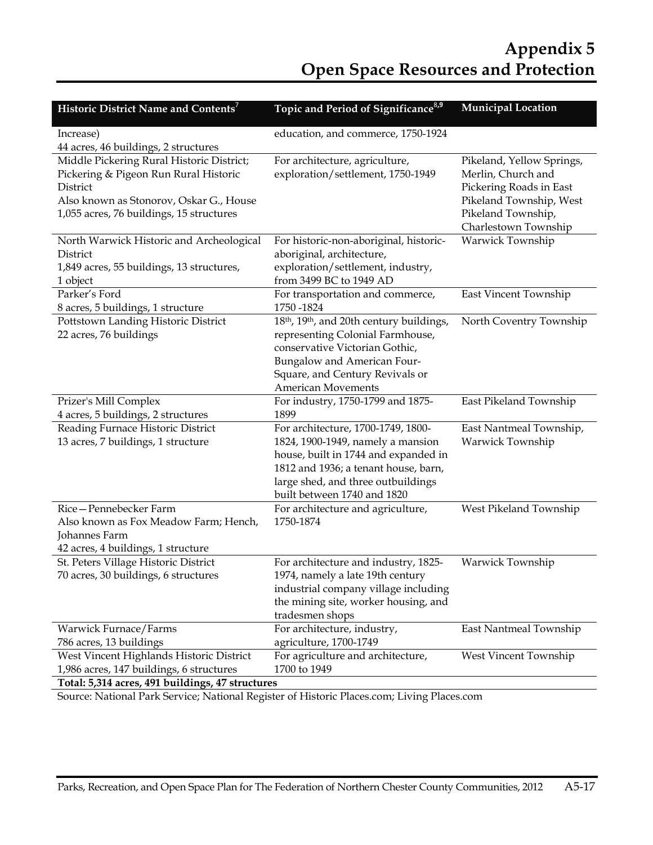# **Appendix 5 Open Space Resources and Protection**

| Historic District Name and Contents'                  | Topic and Period of Significance <sup>8,9</sup>                              | Municipal Location        |
|-------------------------------------------------------|------------------------------------------------------------------------------|---------------------------|
| Increase)                                             | education, and commerce, 1750-1924                                           |                           |
| 44 acres, 46 buildings, 2 structures                  |                                                                              |                           |
| Middle Pickering Rural Historic District;             | For architecture, agriculture,                                               | Pikeland, Yellow Springs, |
| Pickering & Pigeon Run Rural Historic                 | exploration/settlement, 1750-1949                                            | Merlin, Church and        |
| District                                              |                                                                              | Pickering Roads in East   |
| Also known as Stonorov, Oskar G., House               |                                                                              | Pikeland Township, West   |
| 1,055 acres, 76 buildings, 15 structures              |                                                                              | Pikeland Township,        |
|                                                       |                                                                              | Charlestown Township      |
| North Warwick Historic and Archeological              | For historic-non-aboriginal, historic-                                       | Warwick Township          |
| District                                              | aboriginal, architecture,                                                    |                           |
| 1,849 acres, 55 buildings, 13 structures,<br>1 object | exploration/settlement, industry,<br>from 3499 BC to 1949 AD                 |                           |
| Parker's Ford                                         | For transportation and commerce,                                             | East Vincent Township     |
| 8 acres, 5 buildings, 1 structure                     | 1750 - 1824                                                                  |                           |
| Pottstown Landing Historic District                   | 18 <sup>th</sup> , 19 <sup>th</sup> , and 20th century buildings,            | North Coventry Township   |
| 22 acres, 76 buildings                                | representing Colonial Farmhouse,                                             |                           |
|                                                       | conservative Victorian Gothic,                                               |                           |
|                                                       | Bungalow and American Four-                                                  |                           |
|                                                       | Square, and Century Revivals or                                              |                           |
|                                                       | American Movements                                                           |                           |
| Prizer's Mill Complex                                 | For industry, 1750-1799 and 1875-                                            | East Pikeland Township    |
| 4 acres, 5 buildings, 2 structures                    | 1899                                                                         |                           |
| Reading Furnace Historic District                     | For architecture, 1700-1749, 1800-                                           | East Nantmeal Township,   |
| 13 acres, 7 buildings, 1 structure                    | 1824, 1900-1949, namely a mansion                                            | Warwick Township          |
|                                                       | house, built in 1744 and expanded in<br>1812 and 1936; a tenant house, barn, |                           |
|                                                       | large shed, and three outbuildings                                           |                           |
|                                                       | built between 1740 and 1820                                                  |                           |
| Rice-Pennebecker Farm                                 | For architecture and agriculture,                                            | West Pikeland Township    |
| Also known as Fox Meadow Farm; Hench,                 | 1750-1874                                                                    |                           |
| Johannes Farm                                         |                                                                              |                           |
| 42 acres, 4 buildings, 1 structure                    |                                                                              |                           |
| St. Peters Village Historic District                  | For architecture and industry, 1825-                                         | Warwick Township          |
| 70 acres, 30 buildings, 6 structures                  | 1974, namely a late 19th century                                             |                           |
|                                                       | industrial company village including                                         |                           |
|                                                       | the mining site, worker housing, and                                         |                           |
|                                                       | tradesmen shops                                                              |                           |
| Warwick Furnace/Farms<br>786 acres, 13 buildings      | For architecture, industry,<br>agriculture, 1700-1749                        | East Nantmeal Township    |
| West Vincent Highlands Historic District              | For agriculture and architecture,                                            | West Vincent Township     |
| 1,986 acres, 147 buildings, 6 structures              | 1700 to 1949                                                                 |                           |
| Total: 5,314 acres, 491 buildings, 47 structures      |                                                                              |                           |

Source: National Park Service; National Register of Historic Places.com; Living Places.com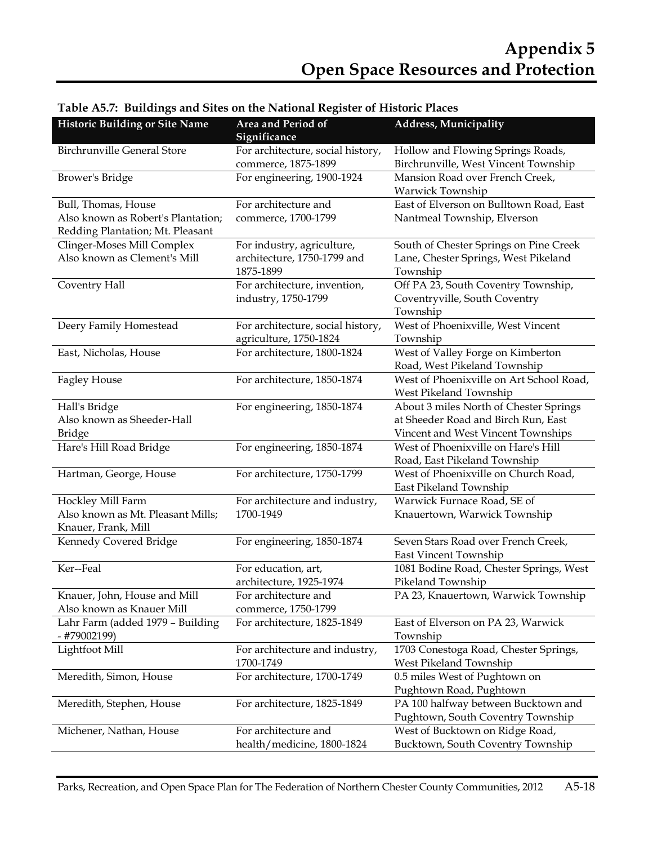| <b>Historic Building or Site Name</b>            | Area and Period of<br>Significance                       | <b>Address, Municipality</b>                                              |
|--------------------------------------------------|----------------------------------------------------------|---------------------------------------------------------------------------|
| <b>Birchrunville General Store</b>               | For architecture, social history,<br>commerce, 1875-1899 | Hollow and Flowing Springs Roads,<br>Birchrunville, West Vincent Township |
| Brower's Bridge                                  | For engineering, 1900-1924                               | Mansion Road over French Creek,<br>Warwick Township                       |
| Bull, Thomas, House                              | For architecture and                                     | East of Elverson on Bulltown Road, East                                   |
| Also known as Robert's Plantation;               | commerce, 1700-1799                                      | Nantmeal Township, Elverson                                               |
| Redding Plantation; Mt. Pleasant                 |                                                          |                                                                           |
| Clinger-Moses Mill Complex                       | For industry, agriculture,                               | South of Chester Springs on Pine Creek                                    |
| Also known as Clement's Mill                     | architecture, 1750-1799 and<br>1875-1899                 | Lane, Chester Springs, West Pikeland<br>Township                          |
| Coventry Hall                                    | For architecture, invention,                             | Off PA 23, South Coventry Township,                                       |
|                                                  | industry, 1750-1799                                      | Coventryville, South Coventry                                             |
|                                                  |                                                          | Township                                                                  |
| Deery Family Homestead                           | For architecture, social history,                        | West of Phoenixville, West Vincent                                        |
|                                                  | agriculture, 1750-1824                                   | Township                                                                  |
| East, Nicholas, House                            | For architecture, 1800-1824                              | West of Valley Forge on Kimberton                                         |
|                                                  |                                                          | Road, West Pikeland Township                                              |
| <b>Fagley House</b>                              | For architecture, 1850-1874                              | West of Phoenixville on Art School Road,                                  |
|                                                  |                                                          | West Pikeland Township                                                    |
| Hall's Bridge                                    | For engineering, 1850-1874                               | About 3 miles North of Chester Springs                                    |
| Also known as Sheeder-Hall                       |                                                          | at Sheeder Road and Birch Run, East                                       |
| <b>Bridge</b>                                    |                                                          | Vincent and West Vincent Townships                                        |
| Hare's Hill Road Bridge                          | For engineering, 1850-1874                               | West of Phoenixville on Hare's Hill<br>Road, East Pikeland Township       |
| Hartman, George, House                           | For architecture, 1750-1799                              | West of Phoenixville on Church Road,<br>East Pikeland Township            |
| Hockley Mill Farm                                | For architecture and industry,                           | Warwick Furnace Road, SE of                                               |
| Also known as Mt. Pleasant Mills;                | 1700-1949                                                | Knauertown, Warwick Township                                              |
| Knauer, Frank, Mill                              |                                                          |                                                                           |
| Kennedy Covered Bridge                           | For engineering, 1850-1874                               | Seven Stars Road over French Creek,                                       |
|                                                  |                                                          | East Vincent Township                                                     |
| Ker--Feal                                        | For education, art,                                      | 1081 Bodine Road, Chester Springs, West                                   |
|                                                  | architecture, 1925-1974                                  | Pikeland Township                                                         |
| Knauer, John, House and Mill                     | For architecture and                                     | PA 23, Knauertown, Warwick Township                                       |
| Also known as Knauer Mill                        | commerce, 1750-1799                                      |                                                                           |
| Lahr Farm (added 1979 - Building<br>- #79002199) | For architecture, 1825-1849                              | East of Elverson on PA 23, Warwick<br>Township                            |
| Lightfoot Mill                                   | For architecture and industry,                           | 1703 Conestoga Road, Chester Springs,                                     |
|                                                  | 1700-1749                                                | West Pikeland Township                                                    |
| Meredith, Simon, House                           | For architecture, 1700-1749                              | 0.5 miles West of Pughtown on                                             |
|                                                  |                                                          | Pughtown Road, Pughtown                                                   |
| Meredith, Stephen, House                         | For architecture, 1825-1849                              | PA 100 halfway between Bucktown and                                       |
|                                                  |                                                          | Pughtown, South Coventry Township                                         |
| Michener, Nathan, House                          | For architecture and                                     | West of Bucktown on Ridge Road,                                           |
|                                                  | health/medicine, 1800-1824                               | Bucktown, South Coventry Township                                         |

#### **Table A5.7: Buildings and Sites on the National Register of Historic Places**

Parks, Recreation, and Open Space Plan for The Federation of Northern Chester County Communities, 2012 A5-18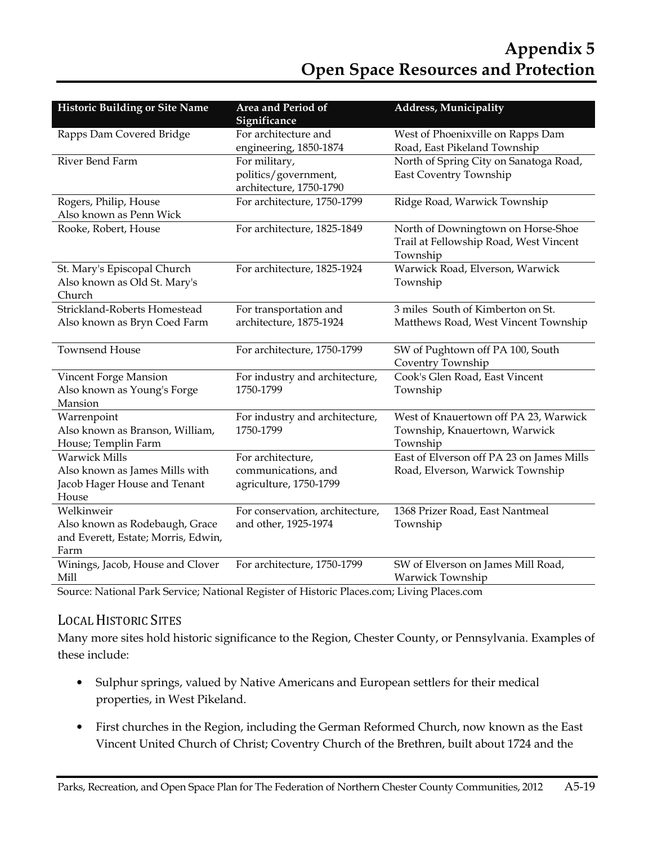| <b>Historic Building or Site Name</b> | Area and Period of<br><b>Address, Municipality</b><br>Significance |                                           |  |  |
|---------------------------------------|--------------------------------------------------------------------|-------------------------------------------|--|--|
| Rapps Dam Covered Bridge              | For architecture and                                               | West of Phoenixville on Rapps Dam         |  |  |
|                                       | engineering, 1850-1874                                             | Road, East Pikeland Township              |  |  |
| River Bend Farm                       | For military,                                                      | North of Spring City on Sanatoga Road,    |  |  |
|                                       | politics/government,                                               | East Coventry Township                    |  |  |
|                                       | architecture, 1750-1790                                            |                                           |  |  |
| Rogers, Philip, House                 | For architecture, 1750-1799                                        | Ridge Road, Warwick Township              |  |  |
| Also known as Penn Wick               |                                                                    |                                           |  |  |
| Rooke, Robert, House                  | For architecture, 1825-1849                                        | North of Downingtown on Horse-Shoe        |  |  |
|                                       |                                                                    | Trail at Fellowship Road, West Vincent    |  |  |
|                                       |                                                                    | Township                                  |  |  |
| St. Mary's Episcopal Church           | For architecture, 1825-1924                                        | Warwick Road, Elverson, Warwick           |  |  |
| Also known as Old St. Mary's          |                                                                    | Township                                  |  |  |
| Church                                |                                                                    |                                           |  |  |
| Strickland-Roberts Homestead          | For transportation and                                             | 3 miles South of Kimberton on St.         |  |  |
| Also known as Bryn Coed Farm          | architecture, 1875-1924                                            | Matthews Road, West Vincent Township      |  |  |
| <b>Townsend House</b>                 | For architecture, 1750-1799                                        | SW of Pughtown off PA 100, South          |  |  |
|                                       |                                                                    | Coventry Township                         |  |  |
| Vincent Forge Mansion                 | For industry and architecture,                                     | Cook's Glen Road, East Vincent            |  |  |
| Also known as Young's Forge           | 1750-1799                                                          | Township                                  |  |  |
| Mansion                               |                                                                    |                                           |  |  |
| Warrenpoint                           | For industry and architecture,                                     | West of Knauertown off PA 23, Warwick     |  |  |
| Also known as Branson, William,       | 1750-1799                                                          | Township, Knauertown, Warwick             |  |  |
| House; Templin Farm                   |                                                                    | Township                                  |  |  |
| <b>Warwick Mills</b>                  | For architecture,                                                  | East of Elverson off PA 23 on James Mills |  |  |
| Also known as James Mills with        | communications, and                                                | Road, Elverson, Warwick Township          |  |  |
| Jacob Hager House and Tenant          | agriculture, 1750-1799                                             |                                           |  |  |
| House                                 |                                                                    |                                           |  |  |
| Welkinweir                            | For conservation, architecture,                                    | 1368 Prizer Road, East Nantmeal           |  |  |
| Also known as Rodebaugh, Grace        | and other, 1925-1974                                               | Township                                  |  |  |
| and Everett, Estate; Morris, Edwin,   |                                                                    |                                           |  |  |
| Farm                                  |                                                                    |                                           |  |  |
| Winings, Jacob, House and Clover      | For architecture, 1750-1799                                        | SW of Elverson on James Mill Road,        |  |  |
| Mill                                  |                                                                    | Warwick Township                          |  |  |

Source: National Park Service; National Register of Historic Places.com; Living Places.com

## LOCAL HISTORIC SITES

Many more sites hold historic significance to the Region, Chester County, or Pennsylvania. Examples of these include:

- Sulphur springs, valued by Native Americans and European settlers for their medical properties, in West Pikeland.
- First churches in the Region, including the German Reformed Church, now known as the East Vincent United Church of Christ; Coventry Church of the Brethren, built about 1724 and the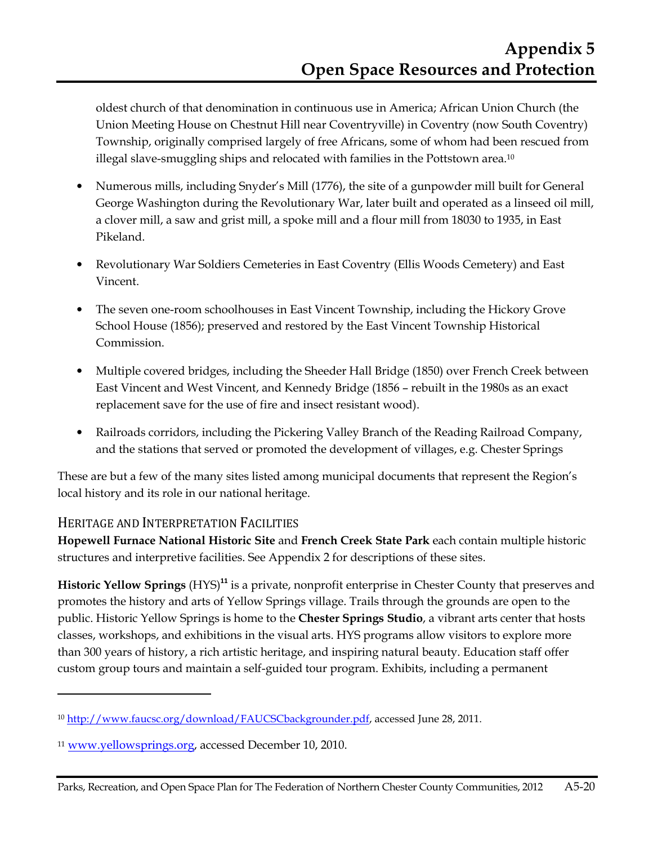oldest church of that denomination in continuous use in America; African Union Church (the Union Meeting House on Chestnut Hill near Coventryville) in Coventry (now South Coventry) Township, originally comprised largely of free Africans, some of whom had been rescued from illegal slave-smuggling ships and relocated with families in the Pottstown area.<sup>10</sup>

- Numerous mills, including Snyder's Mill (1776), the site of a gunpowder mill built for General George Washington during the Revolutionary War, later built and operated as a linseed oil mill, a clover mill, a saw and grist mill, a spoke mill and a flour mill from 18030 to 1935, in East Pikeland.
- Revolutionary War Soldiers Cemeteries in East Coventry (Ellis Woods Cemetery) and East Vincent.
- The seven one-room schoolhouses in East Vincent Township, including the Hickory Grove School House (1856); preserved and restored by the East Vincent Township Historical Commission.
- Multiple covered bridges, including the Sheeder Hall Bridge (1850) over French Creek between East Vincent and West Vincent, and Kennedy Bridge (1856 – rebuilt in the 1980s as an exact replacement save for the use of fire and insect resistant wood).
- Railroads corridors, including the Pickering Valley Branch of the Reading Railroad Company, and the stations that served or promoted the development of villages, e.g. Chester Springs

These are but a few of the many sites listed among municipal documents that represent the Region's local history and its role in our national heritage.

## HERITAGE AND INTERPRETATION FACILITIES

 $\overline{a}$ 

**Hopewell Furnace National Historic Site** and **French Creek State Park** each contain multiple historic structures and interpretive facilities. See Appendix 2 for descriptions of these sites.

**Historic Yellow Springs** (HYS)**<sup>11</sup>** is a private, nonprofit enterprise in Chester County that preserves and promotes the history and arts of Yellow Springs village. Trails through the grounds are open to the public. Historic Yellow Springs is home to the **Chester Springs Studio**, a vibrant arts center that hosts classes, workshops, and exhibitions in the visual arts. HYS programs allow visitors to explore more than 300 years of history, a rich artistic heritage, and inspiring natural beauty. Education staff offer custom group tours and maintain a self-guided tour program. Exhibits, including a permanent

<sup>&</sup>lt;sup>10</sup> http://www.faucsc.org/download/FAUCSCbackgrounder.pdf, accessed June 28, 2011.

<sup>11</sup> www.yellowsprings.org, accessed December 10, 2010.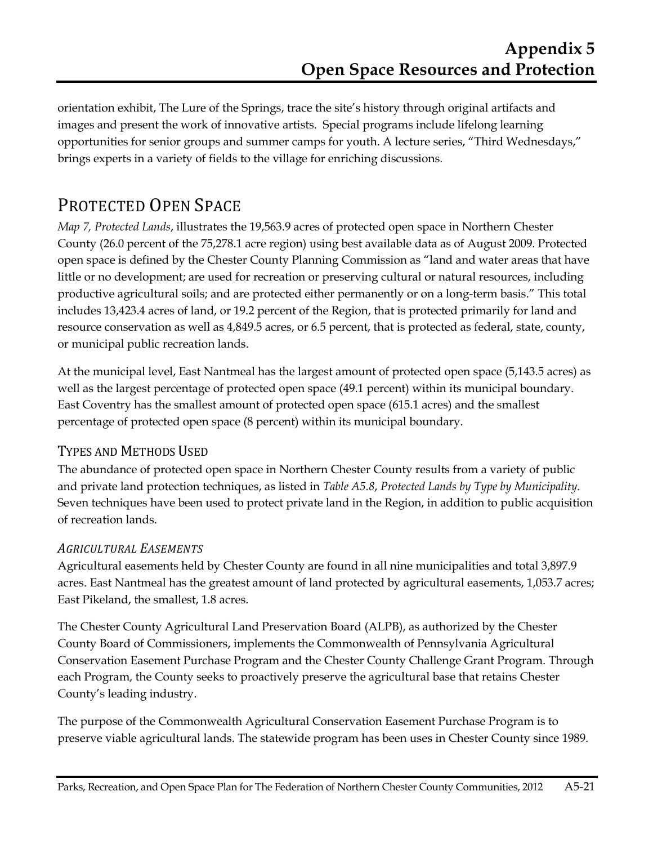orientation exhibit, The Lure of the Springs, trace the site's history through original artifacts and images and present the work of innovative artists. Special programs include lifelong learning opportunities for senior groups and summer camps for youth. A lecture series, "Third Wednesdays," brings experts in a variety of fields to the village for enriching discussions.

# PROTECTED OPEN SPACE

*Map 7, Protected Lands*, illustrates the 19,563.9 acres of protected open space in Northern Chester County (26.0 percent of the 75,278.1 acre region) using best available data as of August 2009. Protected open space is defined by the Chester County Planning Commission as "land and water areas that have little or no development; are used for recreation or preserving cultural or natural resources, including productive agricultural soils; and are protected either permanently or on a long-term basis." This total includes 13,423.4 acres of land, or 19.2 percent of the Region, that is protected primarily for land and resource conservation as well as 4,849.5 acres, or 6.5 percent, that is protected as federal, state, county, or municipal public recreation lands.

At the municipal level, East Nantmeal has the largest amount of protected open space (5,143.5 acres) as well as the largest percentage of protected open space (49.1 percent) within its municipal boundary. East Coventry has the smallest amount of protected open space (615.1 acres) and the smallest percentage of protected open space (8 percent) within its municipal boundary.

## TYPES AND METHODS USED

The abundance of protected open space in Northern Chester County results from a variety of public and private land protection techniques, as listed in *Table A5.8*, *Protected Lands by Type by Municipality*. Seven techniques have been used to protect private land in the Region, in addition to public acquisition of recreation lands.

#### *AGRICULTURAL EASEMENTS*

Agricultural easements held by Chester County are found in all nine municipalities and total 3,897.9 acres. East Nantmeal has the greatest amount of land protected by agricultural easements, 1,053.7 acres; East Pikeland, the smallest, 1.8 acres.

The Chester County Agricultural Land Preservation Board (ALPB), as authorized by the Chester County Board of Commissioners, implements the Commonwealth of Pennsylvania Agricultural Conservation Easement Purchase Program and the Chester County Challenge Grant Program. Through each Program, the County seeks to proactively preserve the agricultural base that retains Chester County's leading industry.

The purpose of the Commonwealth Agricultural Conservation Easement Purchase Program is to preserve viable agricultural lands. The statewide program has been uses in Chester County since 1989.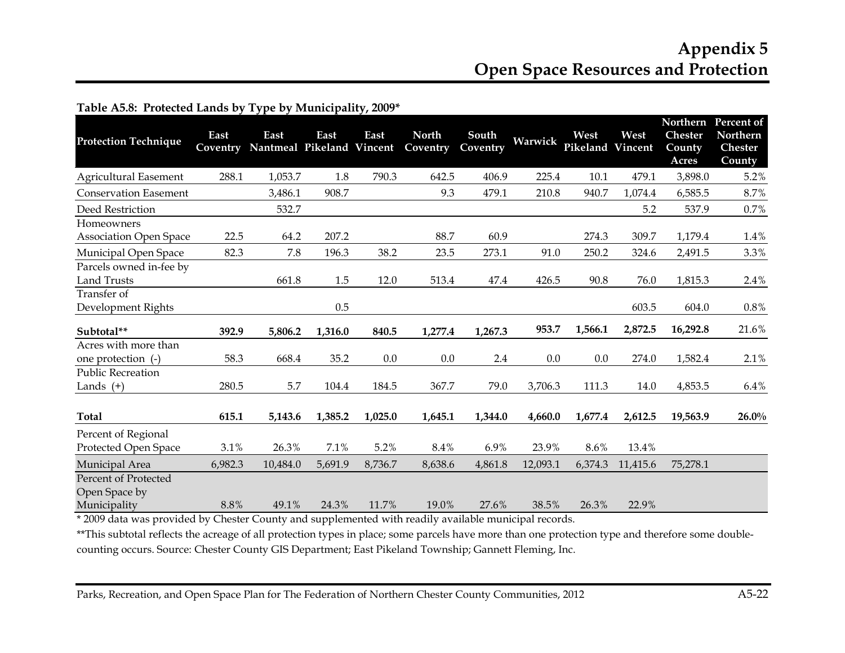## **Appendix 5 Open Space Resources and Protection**

| <b>Protection Technique</b>                           | East<br>Coventry | East<br>Nantmeal Pikeland Vincent | East    | East    | <b>North</b><br>Coventry | South<br>Coventry | Warwick  | West<br>Pikeland | West<br>Vincent | Northern<br><b>Chester</b><br>County<br>Acres | Percent of<br>Northern<br><b>Chester</b><br>County |
|-------------------------------------------------------|------------------|-----------------------------------|---------|---------|--------------------------|-------------------|----------|------------------|-----------------|-----------------------------------------------|----------------------------------------------------|
| <b>Agricultural Easement</b>                          | 288.1            | 1,053.7                           | 1.8     | 790.3   | 642.5                    | 406.9             | 225.4    | 10.1             | 479.1           | 3,898.0                                       | 5.2%                                               |
| <b>Conservation Easement</b>                          |                  | 3,486.1                           | 908.7   |         | 9.3                      | 479.1             | 210.8    | 940.7            | 1,074.4         | 6,585.5                                       | 8.7%                                               |
| Deed Restriction                                      |                  | 532.7                             |         |         |                          |                   |          |                  | 5.2             | 537.9                                         | 0.7%                                               |
| Homeowners<br><b>Association Open Space</b>           | 22.5             | 64.2                              | 207.2   |         | 88.7                     | 60.9              |          | 274.3            | 309.7           | 1,179.4                                       | 1.4%                                               |
| Municipal Open Space                                  | 82.3             | 7.8                               | 196.3   | 38.2    | 23.5                     | 273.1             | 91.0     | 250.2            | 324.6           | 2,491.5                                       | 3.3%                                               |
| Parcels owned in-fee by<br><b>Land Trusts</b>         |                  | 661.8                             | 1.5     | 12.0    | 513.4                    | 47.4              | 426.5    | 90.8             | 76.0            | 1,815.3                                       | 2.4%                                               |
| Transfer of<br>Development Rights                     |                  |                                   | 0.5     |         |                          |                   |          |                  | 603.5           | 604.0                                         | 0.8%                                               |
| Subtotal**                                            | 392.9            | 5,806.2                           | 1,316.0 | 840.5   | 1,277.4                  | 1,267.3           | 953.7    | 1,566.1          | 2,872.5         | 16,292.8                                      | 21.6%                                              |
| Acres with more than<br>one protection (-)            | 58.3             | 668.4                             | 35.2    | 0.0     | 0.0                      | 2.4               | 0.0      | 0.0              | 274.0           | 1,582.4                                       | 2.1%                                               |
| <b>Public Recreation</b><br>Lands $(+)$               | 280.5            | 5.7                               | 104.4   | 184.5   | 367.7                    | 79.0              | 3,706.3  | 111.3            | 14.0            | 4,853.5                                       | 6.4%                                               |
| <b>Total</b>                                          | 615.1            | 5,143.6                           | 1,385.2 | 1,025.0 | 1,645.1                  | 1,344.0           | 4,660.0  | 1,677.4          | 2,612.5         | 19,563.9                                      | $26.0\%$                                           |
| Percent of Regional<br>Protected Open Space           | 3.1%             | 26.3%                             | 7.1%    | 5.2%    | 8.4%                     | 6.9%              | 23.9%    | 8.6%             | 13.4%           |                                               |                                                    |
| Municipal Area                                        | 6,982.3          | 10,484.0                          | 5,691.9 | 8,736.7 | 8,638.6                  | 4,861.8           | 12,093.1 | 6,374.3          | 11,415.6        | 75,278.1                                      |                                                    |
| Percent of Protected<br>Open Space by<br>Municipality | 8.8%             | 49.1%                             | 24.3%   | 11.7%   | 19.0%                    | 27.6%             | 38.5%    | 26.3%            | 22.9%           |                                               |                                                    |

#### **Table A5.8: Protected Lands by Type by Municipality, 2009\***

49.1% 24.3% 11.7% 19.0% 27.6% 38.5% 26.3% 22.9% \* 2009 data was provided by Chester County and supplemented with readily available municipal records.

\*\*This subtotal reflects the acreage of all protection types in place; some parcels have more than one protection type and therefore some doublecounting occurs. Source: Chester County GIS Department; East Pikeland Township; Gannett Fleming, Inc.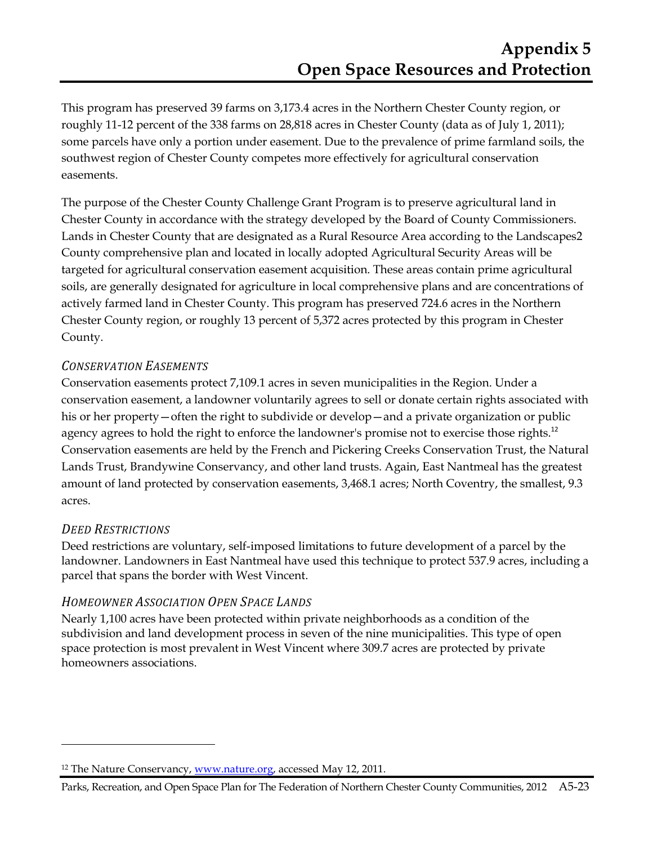This program has preserved 39 farms on 3,173.4 acres in the Northern Chester County region, or roughly 11-12 percent of the 338 farms on 28,818 acres in Chester County (data as of July 1, 2011); some parcels have only a portion under easement. Due to the prevalence of prime farmland soils, the southwest region of Chester County competes more effectively for agricultural conservation easements.

The purpose of the Chester County Challenge Grant Program is to preserve agricultural land in Chester County in accordance with the strategy developed by the Board of County Commissioners. Lands in Chester County that are designated as a Rural Resource Area according to the Landscapes2 County comprehensive plan and located in locally adopted Agricultural Security Areas will be targeted for agricultural conservation easement acquisition. These areas contain prime agricultural soils, are generally designated for agriculture in local comprehensive plans and are concentrations of actively farmed land in Chester County. This program has preserved 724.6 acres in the Northern Chester County region, or roughly 13 percent of 5,372 acres protected by this program in Chester County.

#### *CONSERVATION EASEMENTS*

Conservation easements protect 7,109.1 acres in seven municipalities in the Region. Under a conservation easement, a landowner voluntarily agrees to sell or donate certain rights associated with his or her property—often the right to subdivide or develop—and a private organization or public agency agrees to hold the right to enforce the landowner's promise not to exercise those rights.<sup>12</sup> Conservation easements are held by the French and Pickering Creeks Conservation Trust, the Natural Lands Trust, Brandywine Conservancy, and other land trusts. Again, East Nantmeal has the greatest amount of land protected by conservation easements, 3,468.1 acres; North Coventry, the smallest, 9.3 acres.

#### *DEED RESTRICTIONS*

 $\overline{a}$ 

Deed restrictions are voluntary, self-imposed limitations to future development of a parcel by the landowner. Landowners in East Nantmeal have used this technique to protect 537.9 acres, including a parcel that spans the border with West Vincent.

#### *HOMEOWNER ASSOCIATION OPEN SPACE LANDS*

Nearly 1,100 acres have been protected within private neighborhoods as a condition of the subdivision and land development process in seven of the nine municipalities. This type of open space protection is most prevalent in West Vincent where 309.7 acres are protected by private homeowners associations.

<sup>&</sup>lt;sup>12</sup> The Nature Conservancy, www.nature.org, accessed May 12, 2011.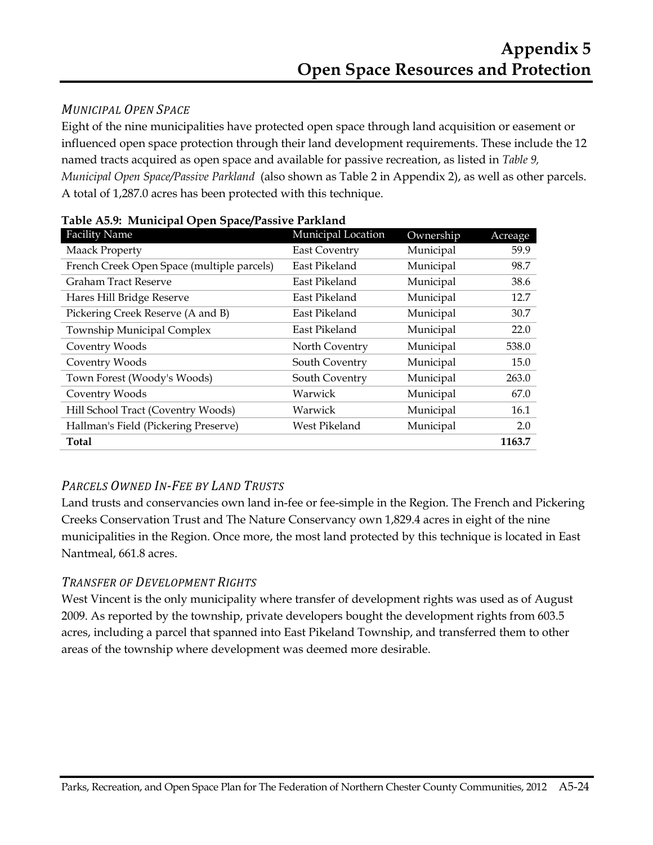### *MUNICIPAL OPEN SPACE*

Eight of the nine municipalities have protected open space through land acquisition or easement or influenced open space protection through their land development requirements. These include the 12 named tracts acquired as open space and available for passive recreation, as listed in *Table 9, Municipal Open Space/Passive Parkland* (also shown as Table 2 in Appendix 2), as well as other parcels. A total of 1,287.0 acres has been protected with this technique.

| <b>Facility Name</b>                       | Municipal Location   | Ownership | Acreage |
|--------------------------------------------|----------------------|-----------|---------|
| <b>Maack Property</b>                      | <b>East Coventry</b> | Municipal | 59.9    |
| French Creek Open Space (multiple parcels) | East Pikeland        | Municipal | 98.7    |
| <b>Graham Tract Reserve</b>                | East Pikeland        | Municipal | 38.6    |
| Hares Hill Bridge Reserve                  | East Pikeland        | Municipal | 12.7    |
| Pickering Creek Reserve (A and B)          | East Pikeland        | Municipal | 30.7    |
| <b>Township Municipal Complex</b>          | East Pikeland        | Municipal | 22.0    |
| Coventry Woods                             | North Coventry       | Municipal | 538.0   |
| Coventry Woods                             | South Coventry       | Municipal | 15.0    |
| Town Forest (Woody's Woods)                | South Coventry       | Municipal | 263.0   |
| Coventry Woods                             | Warwick              | Municipal | 67.0    |
| Hill School Tract (Coventry Woods)         | Warwick              | Municipal | 16.1    |
| Hallman's Field (Pickering Preserve)       | West Pikeland        | Municipal | 2.0     |
| <b>Total</b>                               |                      |           | 1163.7  |

**Table A5.9: Municipal Open Space/Passive Parkland** 

## *PARCELS OWNED IN-FEE BY LAND TRUSTS*

Land trusts and conservancies own land in-fee or fee-simple in the Region. The French and Pickering Creeks Conservation Trust and The Nature Conservancy own 1,829.4 acres in eight of the nine municipalities in the Region. Once more, the most land protected by this technique is located in East Nantmeal, 661.8 acres.

## *TRANSFER OF DEVELOPMENT RIGHTS*

West Vincent is the only municipality where transfer of development rights was used as of August 2009. As reported by the township, private developers bought the development rights from 603.5 acres, including a parcel that spanned into East Pikeland Township, and transferred them to other areas of the township where development was deemed more desirable.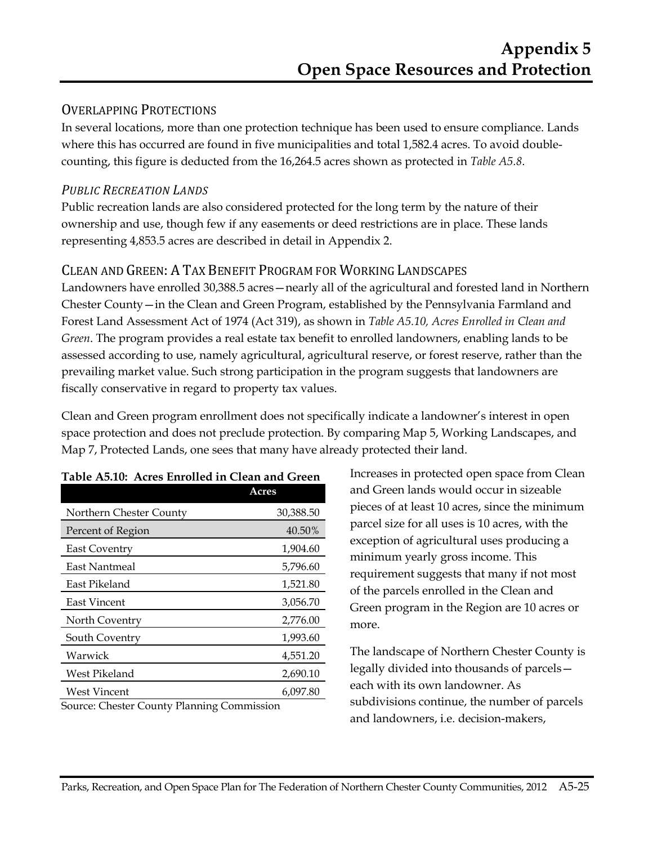### OVERLAPPING PROTECTIONS

In several locations, more than one protection technique has been used to ensure compliance. Lands where this has occurred are found in five municipalities and total 1,582.4 acres. To avoid doublecounting, this figure is deducted from the 16,264.5 acres shown as protected in *Table A5.8*.

#### *PUBLIC RECREATION LANDS*

Public recreation lands are also considered protected for the long term by the nature of their ownership and use, though few if any easements or deed restrictions are in place. These lands representing 4,853.5 acres are described in detail in Appendix 2.

## CLEAN AND GREEN: A TAX BENEFIT PROGRAM FOR WORKING LANDSCAPES

Landowners have enrolled 30,388.5 acres—nearly all of the agricultural and forested land in Northern Chester County—in the Clean and Green Program, established by the Pennsylvania Farmland and Forest Land Assessment Act of 1974 (Act 319), as shown in *Table A5.10, Acres Enrolled in Clean and Green*. The program provides a real estate tax benefit to enrolled landowners, enabling lands to be assessed according to use, namely agricultural, agricultural reserve, or forest reserve, rather than the prevailing market value. Such strong participation in the program suggests that landowners are fiscally conservative in regard to property tax values.

Clean and Green program enrollment does not specifically indicate a landowner's interest in open space protection and does not preclude protection. By comparing Map 5, Working Landscapes, and Map 7, Protected Lands, one sees that many have already protected their land.

| Acres                                      |
|--------------------------------------------|
| 30,388.50                                  |
| 40.50%                                     |
| 1,904.60                                   |
| 5,796.60                                   |
| 1,521.80                                   |
| 3,056.70                                   |
| 2,776.00                                   |
| 1,993.60                                   |
| 4,551.20                                   |
| 2,690.10                                   |
| 6,097.80                                   |
| Course: Chester County Planning Commission |

#### **Table A5.10: Acres Enrolled in Clean and Green**

Source: Chester County Planning Commission

Increases in protected open space from Clean and Green lands would occur in sizeable pieces of at least 10 acres, since the minimum parcel size for all uses is 10 acres, with the exception of agricultural uses producing a minimum yearly gross income. This requirement suggests that many if not most of the parcels enrolled in the Clean and Green program in the Region are 10 acres or more.

The landscape of Northern Chester County is legally divided into thousands of parcels each with its own landowner. As subdivisions continue, the number of parcels and landowners, i.e. decision-makers,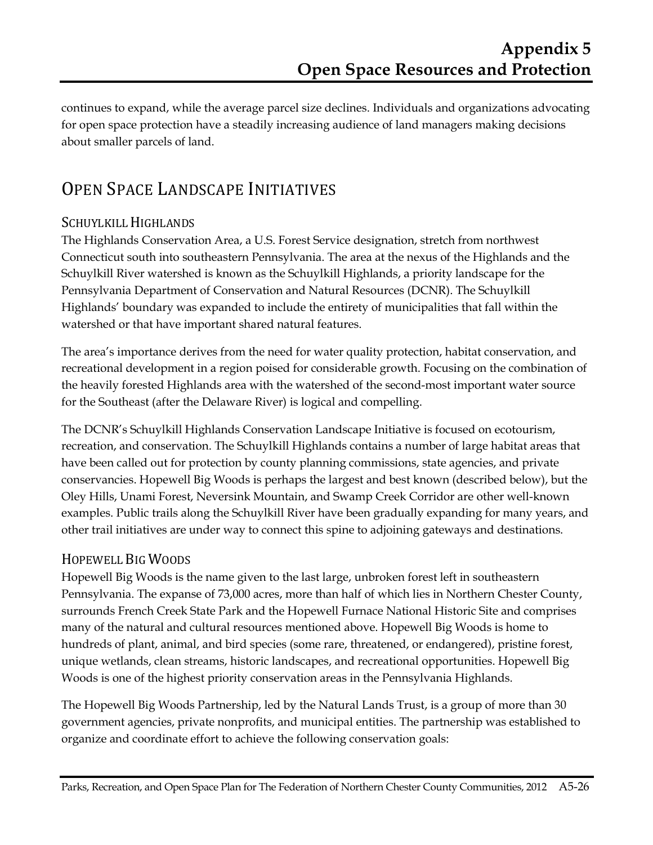continues to expand, while the average parcel size declines. Individuals and organizations advocating for open space protection have a steadily increasing audience of land managers making decisions about smaller parcels of land.

# OPEN SPACE LANDSCAPE INITIATIVES

## SCHUYLKILL HIGHLANDS

The Highlands Conservation Area, a U.S. Forest Service designation, stretch from northwest Connecticut south into southeastern Pennsylvania. The area at the nexus of the Highlands and the Schuylkill River watershed is known as the Schuylkill Highlands, a priority landscape for the Pennsylvania Department of Conservation and Natural Resources (DCNR). The Schuylkill Highlands' boundary was expanded to include the entirety of municipalities that fall within the watershed or that have important shared natural features.

The area's importance derives from the need for water quality protection, habitat conservation, and recreational development in a region poised for considerable growth. Focusing on the combination of the heavily forested Highlands area with the watershed of the second-most important water source for the Southeast (after the Delaware River) is logical and compelling.

The DCNR's Schuylkill Highlands Conservation Landscape Initiative is focused on ecotourism, recreation, and conservation. The Schuylkill Highlands contains a number of large habitat areas that have been called out for protection by county planning commissions, state agencies, and private conservancies. Hopewell Big Woods is perhaps the largest and best known (described below), but the Oley Hills, Unami Forest, Neversink Mountain, and Swamp Creek Corridor are other well-known examples. Public trails along the Schuylkill River have been gradually expanding for many years, and other trail initiatives are under way to connect this spine to adjoining gateways and destinations.

## HOPEWELL BIG WOODS

Hopewell Big Woods is the name given to the last large, unbroken forest left in southeastern Pennsylvania. The expanse of 73,000 acres, more than half of which lies in Northern Chester County, surrounds French Creek State Park and the Hopewell Furnace National Historic Site and comprises many of the natural and cultural resources mentioned above. Hopewell Big Woods is home to hundreds of plant, animal, and bird species (some rare, threatened, or endangered), pristine forest, unique wetlands, clean streams, historic landscapes, and recreational opportunities. Hopewell Big Woods is one of the highest priority conservation areas in the Pennsylvania Highlands.

The Hopewell Big Woods Partnership, led by the Natural Lands Trust, is a group of more than 30 government agencies, private nonprofits, and municipal entities. The partnership was established to organize and coordinate effort to achieve the following conservation goals: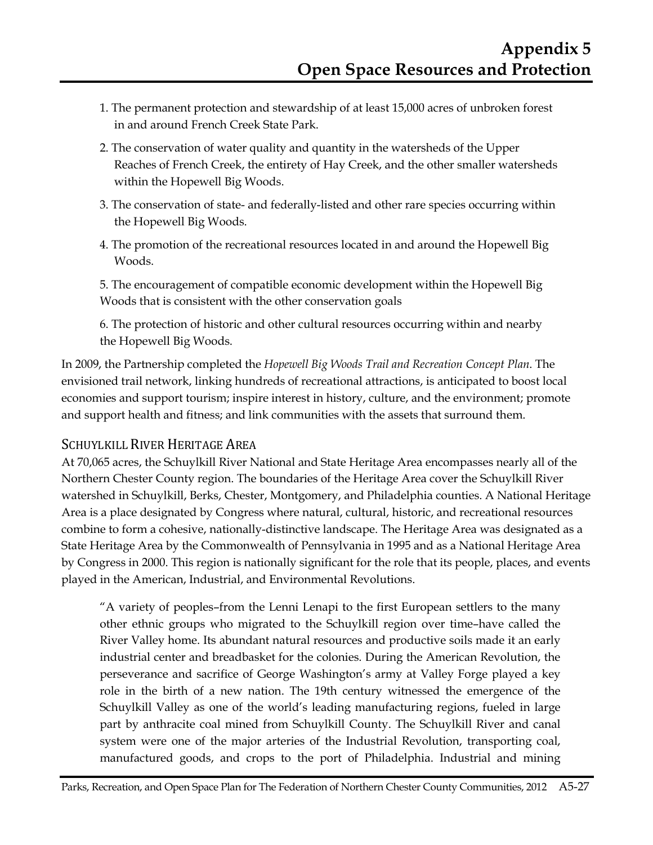- 1. The permanent protection and stewardship of at least 15,000 acres of unbroken forest in and around French Creek State Park.
- 2. The conservation of water quality and quantity in the watersheds of the Upper Reaches of French Creek, the entirety of Hay Creek, and the other smaller watersheds within the Hopewell Big Woods.
- 3. The conservation of state- and federally-listed and other rare species occurring within the Hopewell Big Woods.
- 4. The promotion of the recreational resources located in and around the Hopewell Big Woods.

5. The encouragement of compatible economic development within the Hopewell Big Woods that is consistent with the other conservation goals

6. The protection of historic and other cultural resources occurring within and nearby the Hopewell Big Woods.

In 2009, the Partnership completed the *Hopewell Big Woods Trail and Recreation Concept Plan*. The envisioned trail network, linking hundreds of recreational attractions, is anticipated to boost local economies and support tourism; inspire interest in history, culture, and the environment; promote and support health and fitness; and link communities with the assets that surround them.

## SCHUYLKILL RIVER HERITAGE AREA

At 70,065 acres, the Schuylkill River National and State Heritage Area encompasses nearly all of the Northern Chester County region. The boundaries of the Heritage Area cover the Schuylkill River watershed in Schuylkill, Berks, Chester, Montgomery, and Philadelphia counties. A National Heritage Area is a place designated by Congress where natural, cultural, historic, and recreational resources combine to form a cohesive, nationally-distinctive landscape. The Heritage Area was designated as a State Heritage Area by the Commonwealth of Pennsylvania in 1995 and as a National Heritage Area by Congress in 2000. This region is nationally significant for the role that its people, places, and events played in the American, Industrial, and Environmental Revolutions.

"A variety of peoples–from the Lenni Lenapi to the first European settlers to the many other ethnic groups who migrated to the Schuylkill region over time–have called the River Valley home. Its abundant natural resources and productive soils made it an early industrial center and breadbasket for the colonies. During the American Revolution, the perseverance and sacrifice of George Washington's army at Valley Forge played a key role in the birth of a new nation. The 19th century witnessed the emergence of the Schuylkill Valley as one of the world's leading manufacturing regions, fueled in large part by anthracite coal mined from Schuylkill County. The Schuylkill River and canal system were one of the major arteries of the Industrial Revolution, transporting coal, manufactured goods, and crops to the port of Philadelphia. Industrial and mining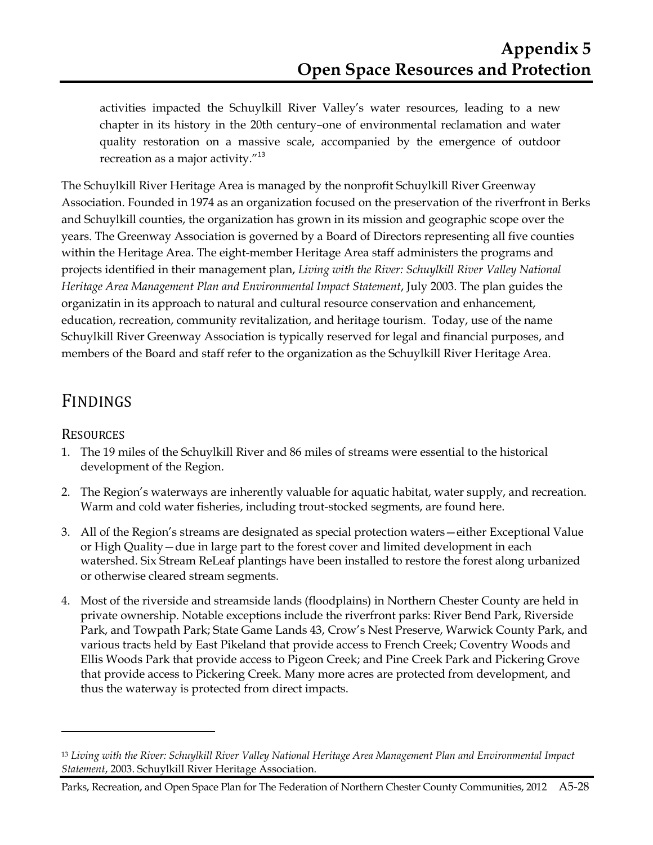activities impacted the Schuylkill River Valley's water resources, leading to a new chapter in its history in the 20th century–one of environmental reclamation and water quality restoration on a massive scale, accompanied by the emergence of outdoor recreation as a major activity."<sup>13</sup>

The Schuylkill River Heritage Area is managed by the nonprofit Schuylkill River Greenway Association. Founded in 1974 as an organization focused on the preservation of the riverfront in Berks and Schuylkill counties, the organization has grown in its mission and geographic scope over the years. The Greenway Association is governed by a Board of Directors representing all five counties within the Heritage Area. The eight-member Heritage Area staff administers the programs and projects identified in their management plan, *Living with the River: Schuylkill River Valley National Heritage Area Management Plan and Environmental Impact Statement*, July 2003. The plan guides the organizatin in its approach to natural and cultural resource conservation and enhancement, education, recreation, community revitalization, and heritage tourism. Today, use of the name Schuylkill River Greenway Association is typically reserved for legal and financial purposes, and members of the Board and staff refer to the organization as the Schuylkill River Heritage Area.

## FINDINGS

#### **RESOURCES**

 $\overline{a}$ 

- 1. The 19 miles of the Schuylkill River and 86 miles of streams were essential to the historical development of the Region.
- 2. The Region's waterways are inherently valuable for aquatic habitat, water supply, and recreation. Warm and cold water fisheries, including trout-stocked segments, are found here.
- 3. All of the Region's streams are designated as special protection waters—either Exceptional Value or High Quality—due in large part to the forest cover and limited development in each watershed. Six Stream ReLeaf plantings have been installed to restore the forest along urbanized or otherwise cleared stream segments.
- 4. Most of the riverside and streamside lands (floodplains) in Northern Chester County are held in private ownership. Notable exceptions include the riverfront parks: River Bend Park, Riverside Park, and Towpath Park; State Game Lands 43, Crow's Nest Preserve, Warwick County Park, and various tracts held by East Pikeland that provide access to French Creek; Coventry Woods and Ellis Woods Park that provide access to Pigeon Creek; and Pine Creek Park and Pickering Grove that provide access to Pickering Creek. Many more acres are protected from development, and thus the waterway is protected from direct impacts.

<sup>13</sup> *Living with the River: Schuylkill River Valley National Heritage Area Management Plan and Environmental Impact Statement*, 2003. Schuylkill River Heritage Association.

Parks, Recreation, and Open Space Plan for The Federation of Northern Chester County Communities, 2012 A5-28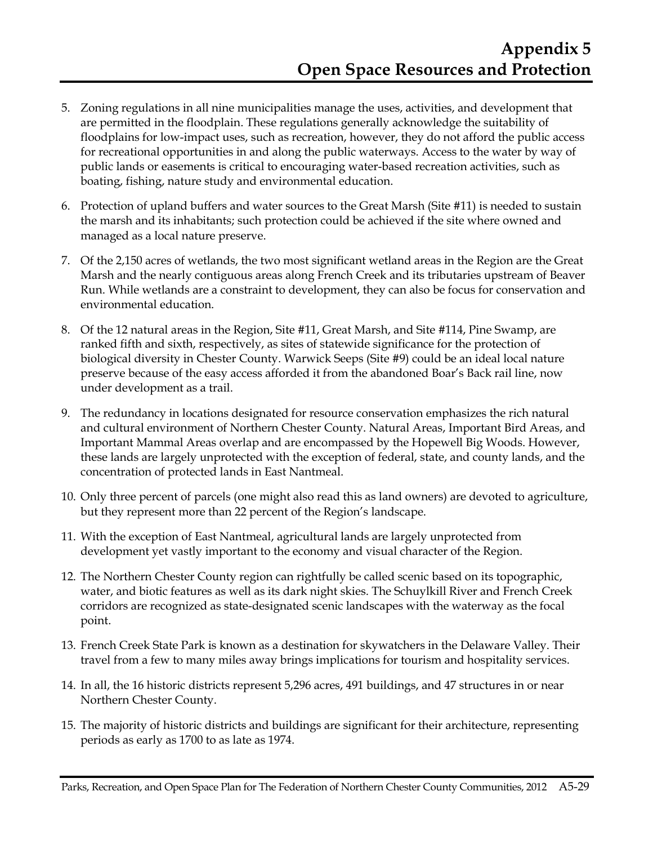- 5. Zoning regulations in all nine municipalities manage the uses, activities, and development that are permitted in the floodplain. These regulations generally acknowledge the suitability of floodplains for low-impact uses, such as recreation, however, they do not afford the public access for recreational opportunities in and along the public waterways. Access to the water by way of public lands or easements is critical to encouraging water-based recreation activities, such as boating, fishing, nature study and environmental education.
- 6. Protection of upland buffers and water sources to the Great Marsh (Site #11) is needed to sustain the marsh and its inhabitants; such protection could be achieved if the site where owned and managed as a local nature preserve.
- 7. Of the 2,150 acres of wetlands, the two most significant wetland areas in the Region are the Great Marsh and the nearly contiguous areas along French Creek and its tributaries upstream of Beaver Run. While wetlands are a constraint to development, they can also be focus for conservation and environmental education.
- 8. Of the 12 natural areas in the Region, Site #11, Great Marsh, and Site #114, Pine Swamp, are ranked fifth and sixth, respectively, as sites of statewide significance for the protection of biological diversity in Chester County. Warwick Seeps (Site #9) could be an ideal local nature preserve because of the easy access afforded it from the abandoned Boar's Back rail line, now under development as a trail.
- 9. The redundancy in locations designated for resource conservation emphasizes the rich natural and cultural environment of Northern Chester County. Natural Areas, Important Bird Areas, and Important Mammal Areas overlap and are encompassed by the Hopewell Big Woods. However, these lands are largely unprotected with the exception of federal, state, and county lands, and the concentration of protected lands in East Nantmeal.
- 10. Only three percent of parcels (one might also read this as land owners) are devoted to agriculture, but they represent more than 22 percent of the Region's landscape.
- 11. With the exception of East Nantmeal, agricultural lands are largely unprotected from development yet vastly important to the economy and visual character of the Region.
- 12. The Northern Chester County region can rightfully be called scenic based on its topographic, water, and biotic features as well as its dark night skies. The Schuylkill River and French Creek corridors are recognized as state-designated scenic landscapes with the waterway as the focal point.
- 13. French Creek State Park is known as a destination for skywatchers in the Delaware Valley. Their travel from a few to many miles away brings implications for tourism and hospitality services.
- 14. In all, the 16 historic districts represent 5,296 acres, 491 buildings, and 47 structures in or near Northern Chester County.
- 15. The majority of historic districts and buildings are significant for their architecture, representing periods as early as 1700 to as late as 1974.